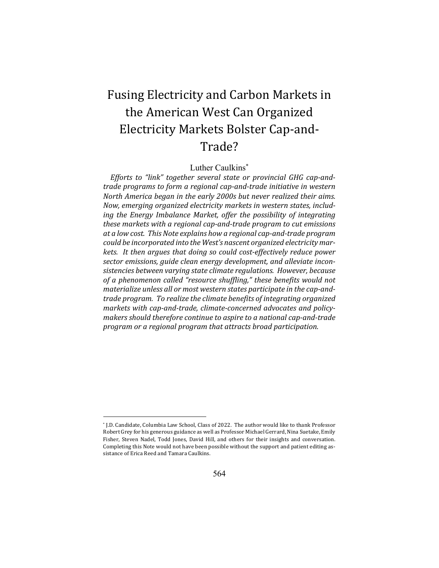# Fusing Electricity and Carbon Markets in the American West Can Organized Electricity Markets Bolster Cap-and-Trade?

Luther Caulkins\*

Efforts to "link" together several state or provincial GHG cap-and*trade programs to form a regional cap-and-trade initiative in western North America began in the early 2000s but never realized their aims. Now, emerging organized electricity markets in western states, including* the Energy Imbalance Market, offer the possibility of integrating *these markets with a regional cap-and-trade program to cut emissions* at a low cost. This Note explains how a regional cap-and-trade program could be incorporated into the West's nascent organized electricity mar*kets. It then argues that doing so could cost-effectively reduce power* sector emissions, guide clean energy development, and alleviate inconsistencies between varying state climate regulations. However, because of a phenomenon called "resource shuffling," these benefits would not materialize unless all or most western states participate in the cap-and*trade* program. To realize the climate benefits of integrating organized markets with cap-and-trade, climate-concerned advocates and policy*makers* should therefore continue to aspire to a national cap-and-trade program or a regional program that attracts broad participation.

<sup>\*</sup> J.D. Candidate, Columbia Law School, Class of 2022. The author would like to thank Professor Robert Grey for his generous guidance as well as Professor Michael Gerrard, Nina Suetake, Emily Fisher, Steven Nadel, Todd Jones, David Hill, and others for their insights and conversation. Completing this Note would not have been possible without the support and patient editing assistance of Erica Reed and Tamara Caulkins.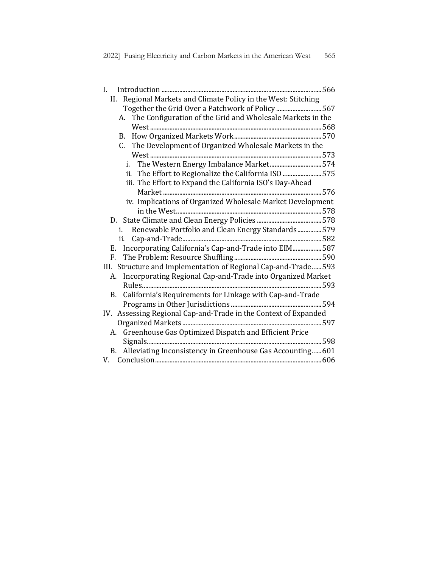| I.                                                                |  |
|-------------------------------------------------------------------|--|
| Regional Markets and Climate Policy in the West: Stitching<br>II. |  |
| Together the Grid Over a Patchwork of Policy 567                  |  |
| A. The Configuration of the Grid and Wholesale Markets in the     |  |
|                                                                   |  |
|                                                                   |  |
| The Development of Organized Wholesale Markets in the<br>C.       |  |
|                                                                   |  |
| The Western Energy Imbalance Market 574<br>i.                     |  |
| ii. The Effort to Regionalize the California ISO  575             |  |
| iii. The Effort to Expand the California ISO's Day-Ahead          |  |
|                                                                   |  |
| iv. Implications of Organized Wholesale Market Development        |  |
|                                                                   |  |
|                                                                   |  |
| Renewable Portfolio and Clean Energy Standards579<br>i.           |  |
| ii.                                                               |  |
| Incorporating California's Cap-and-Trade into EIM 587<br>Е.       |  |
| F.                                                                |  |
| III. Structure and Implementation of Regional Cap-and-Trade 593   |  |
| Incorporating Regional Cap-and-Trade into Organized Market<br>А.  |  |
|                                                                   |  |
| California's Requirements for Linkage with Cap-and-Trade<br>B.    |  |
|                                                                   |  |
| IV. Assessing Regional Cap-and-Trade in the Context of Expanded   |  |
|                                                                   |  |
| Greenhouse Gas Optimized Dispatch and Efficient Price<br>А.       |  |
|                                                                   |  |
| Alleviating Inconsistency in Greenhouse Gas Accounting 601<br>B.  |  |
|                                                                   |  |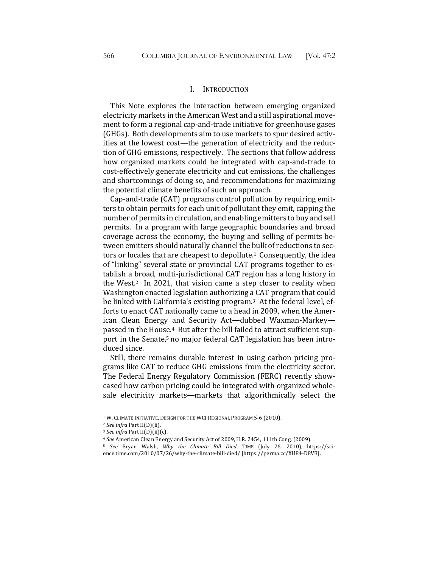#### I. INTRODUCTION

This Note explores the interaction between emerging organized electricity markets in the American West and a still aspirational movement to form a regional cap-and-trade initiative for greenhouse gases (GHGs). Both developments aim to use markets to spur desired activities at the lowest cost—the generation of electricity and the reduction of GHG emissions, respectively. The sections that follow address how organized markets could be integrated with cap-and-trade to cost-effectively generate electricity and cut emissions, the challenges and shortcomings of doing so, and recommendations for maximizing the potential climate benefits of such an approach.

Cap-and-trade (CAT) programs control pollution by requiring emitters to obtain permits for each unit of pollutant they emit, capping the number of permits in circulation, and enabling emitters to buy and sell permits. In a program with large geographic boundaries and broad coverage across the economy, the buying and selling of permits between emitters should naturally channel the bulk of reductions to sectors or locales that are cheapest to depollute.<sup>1</sup> Consequently, the idea of "linking" several state or provincial CAT programs together to establish a broad, multi-jurisdictional CAT region has a long history in the West.<sup>2</sup> In 2021, that vision came a step closer to reality when Washington enacted legislation authorizing a CAT program that could be linked with California's existing program.<sup>3</sup> At the federal level, efforts to enact CAT nationally came to a head in 2009, when the American Clean Energy and Security Act—dubbed Waxman-Markey passed in the House.<sup>4</sup> But after the bill failed to attract sufficient support in the Senate,<sup>5</sup> no major federal CAT legislation has been introduced since.

Still, there remains durable interest in using carbon pricing programs like CAT to reduce GHG emissions from the electricity sector. The Federal Energy Regulatory Commission (FERC) recently showcased how carbon pricing could be integrated with organized wholesale electricity markets—markets that algorithmically select the

<sup>&</sup>lt;sup>1</sup> W. CLIMATE INITIATIVE, DESIGN FOR THE WCI REGIONAL PROGRAM 5-6 (2010).

<sup>&</sup>lt;sup>2</sup> See infra Part II(D)(ii).

<sup>&</sup>lt;sup>3</sup> See infra Part II(D)(ii)(c).

<sup>&</sup>lt;sup>4</sup> See American Clean Energy and Security Act of 2009, H.R. 2454, 111th Cong. (2009).

<sup>&</sup>lt;sup>5</sup> See Bryan Walsh, *Why the Climate Bill Died*, TIME (July 26, 2010), https://science.time.com/2010/07/26/why-the-climate-bill-died/ [https://perma.cc/XH84-D8VB].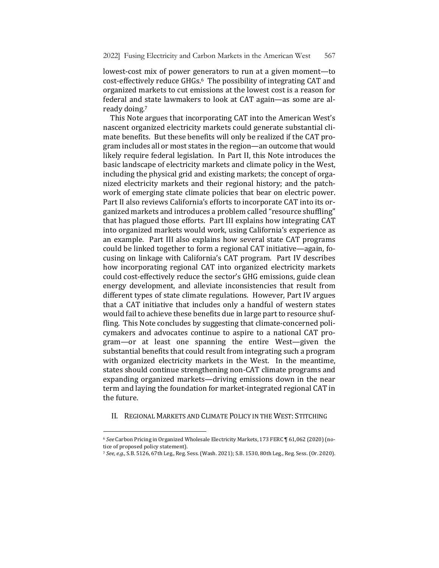lowest-cost mix of power generators to run at a given moment—to cost-effectively reduce GHGs.<sup>6</sup> The possibility of integrating CAT and organized markets to cut emissions at the lowest cost is a reason for federal and state lawmakers to look at CAT again—as some are already doing.<sup>7</sup>

This Note argues that incorporating CAT into the American West's nascent organized electricity markets could generate substantial climate benefits. But these benefits will only be realized if the CAT program includes all or most states in the region—an outcome that would likely require federal legislation. In Part II, this Note introduces the basic landscape of electricity markets and climate policy in the West, including the physical grid and existing markets; the concept of organized electricity markets and their regional history; and the patchwork of emerging state climate policies that bear on electric power. Part II also reviews California's efforts to incorporate CAT into its organized markets and introduces a problem called "resource shuffling" that has plagued those efforts. Part III explains how integrating CAT into organized markets would work, using California's experience as an example. Part III also explains how several state CAT programs could be linked together to form a regional CAT initiative—again, focusing on linkage with California's CAT program. Part IV describes how incorporating regional CAT into organized electricity markets could cost-effectively reduce the sector's GHG emissions, guide clean energy development, and alleviate inconsistencies that result from different types of state climate regulations. However, Part IV argues that a CAT initiative that includes only a handful of western states would fail to achieve these benefits due in large part to resource shuffling. This Note concludes by suggesting that climate-concerned policymakers and advocates continue to aspire to a national CAT program—or at least one spanning the entire West—given the substantial benefits that could result from integrating such a program with organized electricity markets in the West. In the meantime, states should continue strengthening non-CAT climate programs and expanding organized markets—driving emissions down in the near term and laying the foundation for market-integrated regional CAT in the future.

II. REGIONAL MARKETS AND CLIMATE POLICY IN THE WEST: STITCHING

<sup>&</sup>lt;sup>6</sup> See Carbon Pricing in Organized Wholesale Electricity Markets, 173 FERC ¶ 61,062 (2020) (notice of proposed policy statement).

<sup>7</sup> See, e.g., S.B. 5126, 67th Leg., Reg. Sess. (Wash. 2021); S.B. 1530, 80th Leg., Reg. Sess. (Or. 2020).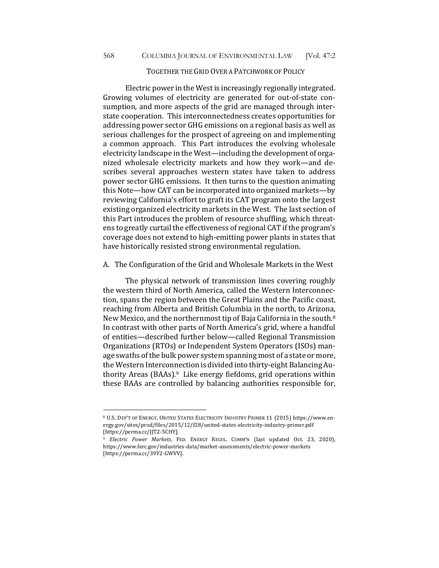#### TOGETHER THE GRID OVER A PATCHWORK OF POLICY

Electric power in the West is increasingly regionally integrated. Growing volumes of electricity are generated for out-of-state consumption, and more aspects of the grid are managed through interstate cooperation. This interconnectedness creates opportunities for addressing power sector GHG emissions on a regional basis as well as serious challenges for the prospect of agreeing on and implementing a common approach. This Part introduces the evolving wholesale electricity landscape in the West—including the development of organized wholesale electricity markets and how they work—and describes several approaches western states have taken to address power sector GHG emissions. It then turns to the question animating this Note—how CAT can be incorporated into organized markets—by reviewing California's effort to graft its CAT program onto the largest existing organized electricity markets in the West. The last section of this Part introduces the problem of resource shuffling, which threatens to greatly curtail the effectiveness of regional CAT if the program's coverage does not extend to high-emitting power plants in states that have historically resisted strong environmental regulation.

#### A. The Configuration of the Grid and Wholesale Markets in the West

The physical network of transmission lines covering roughly the western third of North America, called the Western Interconnection, spans the region between the Great Plains and the Pacific coast, reaching from Alberta and British Columbia in the north, to Arizona, New Mexico, and the northernmost tip of Baja California in the south.<sup>8</sup> In contrast with other parts of North America's grid, where a handful of entities—described further below—called Regional Transmission Organizations (RTOs) or Independent System Operators (ISOs) manage swaths of the bulk power system spanning most of a state or more, the Western Interconnection is divided into thirty-eight Balancing Authority Areas (BAAs).<sup>9</sup> Like energy fiefdoms, grid operations within these BAAs are controlled by balancing authorities responsible for,

<sup>&</sup>lt;sup>8</sup> U.S. DEP'T OF ENERGY, UNITED STATES ELECTRICITY INDUSTRY PRIMER 11 (2015) https://www.energy.gov/sites/prod/files/2015/12/f28/united-states-electricity-industry-primer.pdf [https://perma.cc/JJT2-5CHY]. 

<sup>&</sup>lt;sup>9</sup> Electric Power Markets, FED. ENERGY REGUL. COMM'N (last updated Oct. 23, 2020), https://www.ferc.gov/industries-data/market-assessments/electric-power-markets [https://perma.cc/39Y2-GWVV].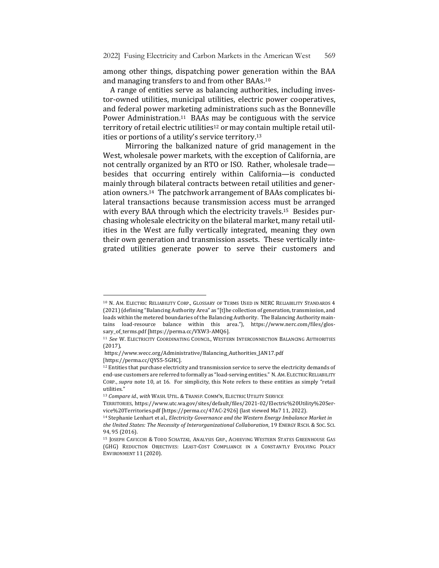among other things, dispatching power generation within the BAA and managing transfers to and from other BAAs.<sup>10</sup>

A range of entities serve as balancing authorities, including investor-owned utilities, municipal utilities, electric power cooperatives, and federal power marketing administrations such as the Bonneville Power Administration.<sup>11</sup> BAAs may be contiguous with the service territory of retail electric utilities<sup>12</sup> or may contain multiple retail utilities or portions of a utility's service territory.<sup>13</sup>

Mirroring the balkanized nature of grid management in the West, wholesale power markets, with the exception of California, are not centrally organized by an RTO or ISO. Rather, wholesale trade besides that occurring entirely within California-is conducted mainly through bilateral contracts between retail utilities and generation owners.<sup>14</sup> The patchwork arrangement of BAAs complicates bilateral transactions because transmission access must be arranged with every BAA through which the electricity travels.<sup>15</sup> Besides purchasing wholesale electricity on the bilateral market, many retail utilities in the West are fully vertically integrated, meaning they own their own generation and transmission assets. These vertically integrated utilities generate power to serve their customers and

<sup>&</sup>lt;sup>10</sup> N. AM. ELECTRIC RELIABILITY CORP., GLOSSARY OF TERMS USED IN NERC RELIABILITY STANDARDS 4 (2021) (defining "Balancing Authority Area" as "[t]he collection of generation, transmission, and loads within the metered boundaries of the Balancing Authority. The Balancing Authority maintains load-resource balance within this area."), https://www.nerc.com/files/glossary\_of\_terms.pdf [https://perma.cc/VXW3-AMQ6].

<sup>&</sup>lt;sup>11</sup> See W. ELECTRICITY COORDINATING COUNCIL, WESTERN INTERCONNECTION BALANCING AUTHORITIES (2017),

https://www.wecc.org/Administrative/Balancing\_Authorities\_JAN17.pdf [https://perma.cc/QYS5-5GHC]. 

 $12$  Entities that purchase electricity and transmission service to serve the electricity demands of end-use customers are referred to formally as "load-serving entities." N.AM. ELECTRIC RELIABILITY CORP., *supra* note 10, at 16. For simplicity, this Note refers to these entities as simply "retail utilities."

<sup>13</sup> *Compare id., with* WASH, UTIL. & TRANSP, COMM'N, ELECTRIC UTILITY SERVICE

TERRITORIES, https://www.utc.wa.gov/sites/default/files/2021-02/Electric%20Utility%20Service%20Territories.pdf [https://perma.cc/47AC-2926] (last viewed Ma7 11, 2022).

<sup>&</sup>lt;sup>14</sup> Stephanie Lenhart et al., *Electricity Governance and the Western Energy Imbalance Market in* the United States: The Necessity of Interorganizational Collaboration, 19 ENERGY RSCH. & Soc. ScI. 94, 95 (2016). 

<sup>&</sup>lt;sup>15</sup> JOSEPH CAVICCHI & TODD SCHATZKI, ANALYSIS GRP., ACHIEVING WESTERN STATES GREENHOUSE GAS (GHG) REDUCTION OBJECTIVES: LEAST-COST COMPLIANCE IN A CONSTANTLY EVOLVING POLICY ENVIRONMENT 11 (2020).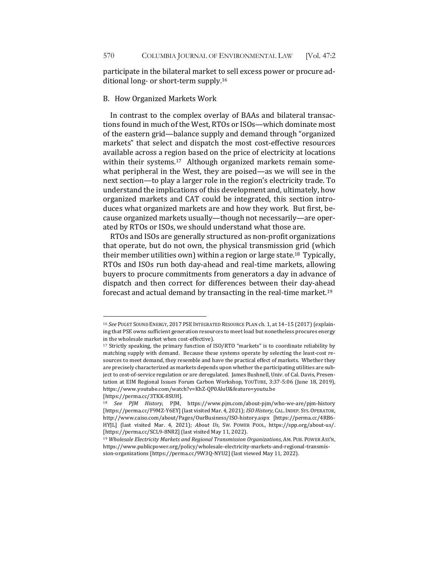participate in the bilateral market to sell excess power or procure additional long- or short-term supply.<sup>16</sup>

#### B. How Organized Markets Work

In contrast to the complex overlay of BAAs and bilateral transactions found in much of the West, RTOs or ISOs—which dominate most of the eastern grid—balance supply and demand through "organized markets" that select and dispatch the most cost-effective resources available across a region based on the price of electricity at locations within their systems.<sup>17</sup> Although organized markets remain somewhat peripheral in the West, they are poised—as we will see in the next section—to play a larger role in the region's electricity trade. To understand the implications of this development and, ultimately, how organized markets and CAT could be integrated, this section introduces what organized markets are and how they work. But first, because organized markets usually—though not necessarily—are operated by RTOs or ISOs, we should understand what those are.

RTOs and ISOs are generally structured as non-profit organizations that operate, but do not own, the physical transmission grid (which their member utilities own) within a region or large state.<sup>18</sup> Typically, RTOs and ISOs run both day-ahead and real-time markets, allowing buyers to procure commitments from generators a day in advance of dispatch and then correct for differences between their day-ahead forecast and actual demand by transacting in the real-time market.<sup>19</sup>

<sup>&</sup>lt;sup>16</sup> See PUGET SOUND ENERGY, 2017 PSE INTEGRATED RESOURCE PLAN ch. 1, at 14-15 (2017) (explaining that PSE owns sufficient generation resources to meet load but nonetheless procures energy in the wholesale market when cost-effective).

<sup>&</sup>lt;sup>17</sup> Strictly speaking, the primary function of ISO/RTO "markets" is to coordinate reliability by matching supply with demand. Because these systems operate by selecting the least-cost resources to meet demand, they resemble and have the practical effect of markets. Whether they are precisely characterized as markets depends upon whether the participating utilities are subject to cost-of-service regulation or are deregulated. James Bushnell, Univ. of Cal. Davis, Presentation at EIM Regional Issues Forum Carbon Workshop, YOUTUBE, 3:37-5:06 (June 18, 2019), https://www.youtube.com/watch?v=KhZ-QP0AluU&feature=youtu.be [https://perma.cc/3TKK-8SUH]. 

<sup>&</sup>lt;sup>18</sup> See PJM History, PJM, https://www.pjm.com/about-pjm/who-we-are/pjm-history [https://perma.cc/F9MZ-Y6EY] (last visited Mar. 4, 2021); *ISO History*, CAL. INDEP. SYS. OPERATOR, http://www.caiso.com/about/Pages/OurBusiness/ISO-history.aspx [https://perma.cc/4RB6- HYJL] (last visited Mar. 4, 2021); About Us, Sw. Powen Pool, https://spp.org/about-us/. [https://perma.cc/SCL9-8NRZ] (last visited May 11, 2022).

<sup>&</sup>lt;sup>19</sup> *Wholesale Electricity Markets and Regional Transmission Organizations*, AM. PUB. POWER ASS'N, https://www.publicpower.org/policy/wholesale-electricity-markets-and-regional-transmission-organizations [https://perma.cc/9W3Q-NYU2] (last viewed May 11, 2022).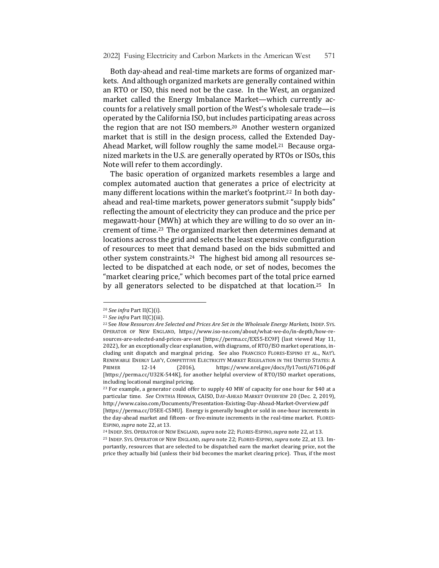Both day-ahead and real-time markets are forms of organized markets. And although organized markets are generally contained within an RTO or ISO, this need not be the case. In the West, an organized market called the Energy Imbalance Market—which currently accounts for a relatively small portion of the West's wholesale trade-is operated by the California ISO, but includes participating areas across the region that are not ISO members.<sup>20</sup> Another western organized market that is still in the design process, called the Extended Day-Ahead Market, will follow roughly the same model.<sup>21</sup> Because organized markets in the U.S. are generally operated by RTOs or ISOs, this Note will refer to them accordingly.

The basic operation of organized markets resembles a large and complex automated auction that generates a price of electricity at many different locations within the market's footprint.<sup>22</sup> In both dayahead and real-time markets, power generators submit "supply bids" reflecting the amount of electricity they can produce and the price per megawatt-hour (MWh) at which they are willing to do so over an increment of time.<sup>23</sup> The organized market then determines demand at locations across the grid and selects the least expensive configuration of resources to meet that demand based on the bids submitted and other system constraints.<sup>24</sup> The highest bid among all resources selected to be dispatched at each node, or set of nodes, becomes the "market clearing price," which becomes part of the total price earned by all generators selected to be dispatched at that location.<sup>25</sup> In

<sup>&</sup>lt;sup>20</sup> See infra Part II(C)(i).

<sup>&</sup>lt;sup>21</sup> See infra Part II(C)(iii).

<sup>&</sup>lt;sup>22</sup> See How Resources Are Selected and Prices Are Set in the Wholesale Energy Markets, INDEP. SYS. OPERATOR OF NEW ENGLAND, https://www.iso-ne.com/about/what-we-do/in-depth/how-resources-are-selected-and-prices-are-set [https://perma.cc/EX55-EC9F] (last viewed May 11, 2022), for an exceptionally clear explanation, with diagrams, of RTO/ISO market operations, including unit dispatch and marginal pricing. See also FRANCISCO FLORES-ESPINO ET AL., NAT'L RENEWABLE ENERGY LAB'Y, COMPETITIVE ELECTRICITY MARKET REGULATION IN THE UNITED STATES: A PRIMER 12-14 (2016), https://www.nrel.gov/docs/fy17osti/67106.pdf [https://perma.cc/U32K-544K], for another helpful overview of RTO/ISO market operations, including locational marginal pricing.

<sup>&</sup>lt;sup>23</sup> For example, a generator could offer to supply 40 MW of capacity for one hour for \$40 at a particular time. See CYNTHIA HINMAN, CAISO, DAY-AHEAD MARKET OVERVIEW 20 (Dec. 2, 2019), http://www.caiso.com/Documents/Presentation-Existing-Day-Ahead-Market-Overview.pdf 

<sup>[</sup>https://perma.cc/D5EE-C5MU]. Energy is generally bought or sold in one-hour increments in the day-ahead market and fifteen- or five-minute increments in the real-time market. FLORES-ESPINO, *supra* note 22, at 13.

<sup>&</sup>lt;sup>24</sup> INDEP. SYS. OPERATOR OF NEW ENGLAND, *supra* note 22; FLORES-ESPINO, *supra* note 22, at 13.

<sup>&</sup>lt;sup>25</sup> INDEP. SYS. OPERATOR OF NEW ENGLAND, *supra* note 22; FLORES-ESPINO, *supra* note 22, at 13. Importantly, resources that are selected to be dispatched earn the market clearing price, not the price they actually bid (unless their bid becomes the market clearing price). Thus, if the most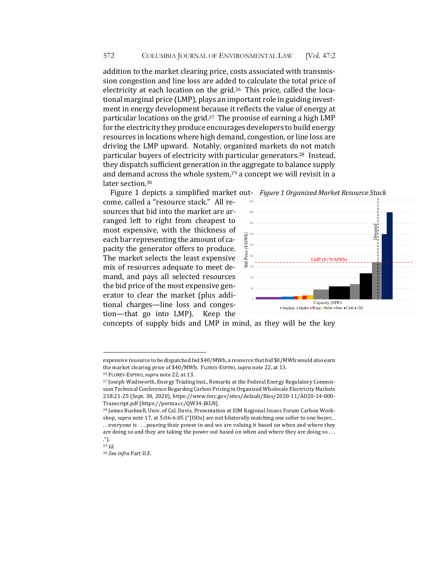addition to the market clearing price, costs associated with transmission congestion and line loss are added to calculate the total price of electricity at each location on the grid.<sup>26</sup> This price, called the locational marginal price (LMP), plays an important role in guiding investment in energy development because it reflects the value of energy at particular locations on the grid.<sup>27</sup> The promise of earning a high LMP for the electricity they produce encourages developers to build energy resources in locations where high demand, congestion, or line loss are driving the LMP upward. Notably, organized markets do not match particular buyers of electricity with particular generators.<sup>28</sup> Instead, they dispatch sufficient generation in the aggregate to balance supply and demand across the whole system, $29$  a concept we will revisit in a later section.<sup>30</sup>

come, called a "resource stack." All resources that bid into the market are arranged left to right from cheapest to most expensive, with the thickness of each bar representing the amount of capacity the generator offers to produce. The market selects the least expensive mix of resources adequate to meet demand, and pays all selected resources the bid price of the most expensive generator to clear the market (plus additional charges—line loss and conges $tion$ —that go into LMP). Keep the



concepts of supply bids and LMP in mind, as they will be the key

expensive resource to be dispatched bid \$40/MWh, a resource that bid \$0/MWh would also earn the market clearing price of \$40/MWh. FLORES-ESPINO, supra note 22, at 13.

<sup>&</sup>lt;sup>26</sup> FLORES-ESPINO, supra note 22, at 13.

<sup>&</sup>lt;sup>27</sup> Joseph Wadsworth, Energy Trading Inst., Remarks at the Federal Energy Regulatory Commission Technical Conference Regarding Carbon Pricing in Organized Wholesale Electricity Markets 218:21-25 (Sept. 30, 2020), https://www.ferc.gov/sites/default/files/2020-11/AD20-14-000-Transcript.pdf [https://perma.cc/QW34-JKLN]. 

<sup>&</sup>lt;sup>28</sup> James Bushnell, Univ. of Cal. Davis, Presentation at EIM Regional Issues Forum Carbon Workshop, *supra* note 17, at 5:06-6:05 ("[ISOs] are not bilaterally matching one seller to one buyer, . .. everyone is ... pouring their power in and we are valuing it based on when and where they

are doing so and they are taking the power out based on when and where they are doing so ... .").

<sup>29</sup> *Id.*

 $^{\rm 30}$  See infra Part II.F.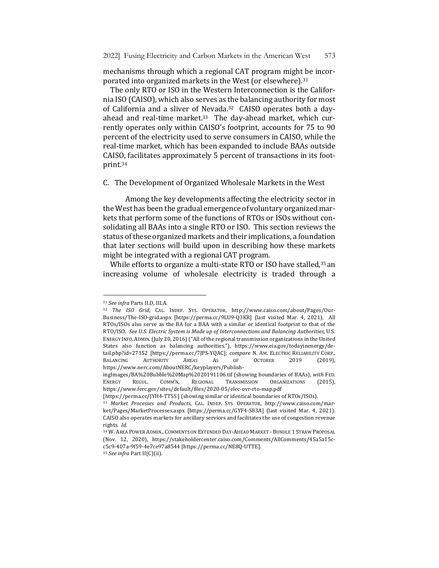mechanisms through which a regional CAT program might be incorporated into organized markets in the West (or elsewhere).<sup>31</sup>

The only RTO or ISO in the Western Interconnection is the California ISO (CAISO), which also serves as the balancing authority for most of California and a sliver of Nevada.<sup>32</sup> CAISO operates both a dayahead and real-time market. $33$  The day-ahead market, which currently operates only within CAISO's footprint, accounts for 75 to 90 percent of the electricity used to serve consumers in CAISO, while the real-time market, which has been expanded to include BAAs outside CAISO, facilitates approximately 5 percent of transactions in its footprint.34

## C. The Development of Organized Wholesale Markets in the West

Among the key developments affecting the electricity sector in the West has been the gradual emergence of voluntary organized markets that perform some of the functions of RTOs or ISOs without consolidating all BAAs into a single RTO or ISO. This section reviews the status of these organized markets and their implications, a foundation that later sections will build upon in describing how these markets might be integrated with a regional CAT program.

While efforts to organize a multi-state RTO or ISO have stalled,<sup>35</sup> an increasing volume of wholesale electricity is traded through a

<sup>&</sup>lt;sup>31</sup> See infra Parts II.D, III.A.

<sup>&</sup>lt;sup>32</sup> The ISO Grid, CAL. INDEP. SYS. OPERATOR, http://www.caiso.com/about/Pages/Our-Business/The-ISO-grid.aspx [https://perma.cc/9LU9-Q3KR] (last visited Mar. 4, 2021). All RTOs/ISOs also serve as the BA for a BAA with a similar or identical footprint to that of the RTO/ISO. See U.S. Electric System is Made up of Interconnections and Balancing Authorities, U.S. ENERGY INFO. ADMIN. (July 20, 2016) ("All of the regional transmission organizations in the United States also function as balancing authorities."), https://www.eia.gov/todayinenergy/detail.php?id=27152 [https://perma.cc/7JPS-YQAC]; compare N. AM. ELECTRIC RELIABILITY CORP., BALANCING AUTHORITY AREAS AS OF OCTOBER 2019 (2019), https://www.nerc.com/AboutNERC/keyplayers/Publish-

ingImages/BA%20Bubble%20Map%2020191106.tif (showing boundaries of BAAs), with FED. ENERGY REGUL. COMM'N, REGIONAL TRANSMISSION ORGANIZATIONS (2015), https://www.ferc.gov/sites/default/files/2020-05/elec-ovr-rto-map.pdf 

<sup>[</sup>https://perma.cc/JYH4-TTSS] (showing similar or identical boundaries of RTOs/ISOs).

<sup>33</sup> Market Processes and Products, CAL. INDEP. SYS. OPERATOR, http://www.caiso.com/market/Pages/MarketProcesses.aspx [https://perma.cc/GYF4-S83A] (last visited Mar. 4, 2021). CAISO also operates markets for ancillary services and facilitates the use of congestion revenue rights. *Id.* 

<sup>&</sup>lt;sup>34</sup> W. AREA POWER ADMIN., COMMENTS ON EXTENDED DAY-AHEAD MARKET - BUNDLE 1 STRAW PROPOSAL (Nov. 12, 2020), https://stakeholdercenter.caiso.com/Comments/AllComments/45a5a15cc5c9-407a-9f59-4e7ce97a8544 [https://perma.cc/NE8Q-UTTE]. 

<sup>&</sup>lt;sup>35</sup> See infra Part II(C)(ii).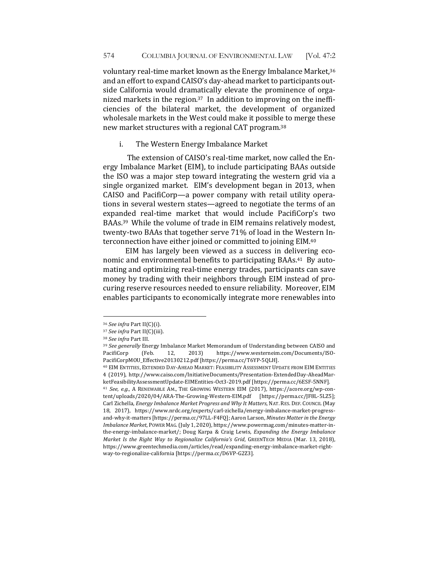voluntary real-time market known as the Energy Imbalance Market,<sup>36</sup> and an effort to expand CAISO's day-ahead market to participants outside California would dramatically elevate the prominence of organized markets in the region.<sup>37</sup> In addition to improving on the inefficiencies of the bilateral market, the development of organized wholesale markets in the West could make it possible to merge these new market structures with a regional CAT program.<sup>38</sup>

## i. The Western Energy Imbalance Market

The extension of CAISO's real-time market, now called the Energy Imbalance Market (EIM), to include participating BAAs outside the ISO was a major step toward integrating the western grid via a single organized market. EIM's development began in 2013, when CAISO and PacifiCorp—a power company with retail utility operations in several western states—agreed to negotiate the terms of an expanded real-time market that would include PacifiCorp's two BAAs.<sup>39</sup> While the volume of trade in EIM remains relatively modest, twenty-two BAAs that together serve 71% of load in the Western Interconnection have either joined or committed to joining EIM.<sup>40</sup>

EIM has largely been viewed as a success in delivering economic and environmental benefits to participating BAAs.<sup>41</sup> By automating and optimizing real-time energy trades, participants can save money by trading with their neighbors through EIM instead of procuring reserve resources needed to ensure reliability. Moreover, EIM enables participants to economically integrate more renewables into

<sup>&</sup>lt;sup>36</sup> See infra Part II(C)(i).

<sup>&</sup>lt;sup>37</sup> *See infra* Part II(C)(iii).

<sup>&</sup>lt;sup>38</sup> See infra Part III.

<sup>&</sup>lt;sup>39</sup> See generally Energy Imbalance Market Memorandum of Understanding between CAISO and PacifiCorp (Feb. 12, 2013) https://www.westerneim.com/Documents/ISO-PacifiCorpMOU\_Effective20130212.pdf [https://perma.cc/T6YP-5QLH].

<sup>&</sup>lt;sup>40</sup> EIM ENTITIES, EXTENDED DAY-AHEAD MARKET: FEASIBILITY ASSESSMENT UPDATE FROM EIM ENTITIES 4 (2019), http://www.caiso.com/InitiativeDocuments/Presentation-ExtendedDay-AheadMarketFeasibilityAssessmentUpdate-EIMEntities-Oct3-2019.pdf [https://perma.cc/6ESF-5NNF].

<sup>&</sup>lt;sup>41</sup> See, e.g., A RENEWABLE AM., THE GROWING WESTERN EIM (2017), https://acore.org/wp-content/uploads/2020/04/ARA-The-Growing-Western-EIM.pdf [https://perma.cc/JF8L-5LZ5]; Carl Zichella, *Energy Imbalance Market Progress and Why It Matters*, NAT. RES. DEF. COUNCIL (May 18, 2017), https://www.nrdc.org/experts/carl-zichella/energy-imbalance-market-progressand-why-it-matters [https://perma.cc/97LL-F4FQ]; Aaron Larson, *Minutes Matter in the Energy Imbalance Market*, POWER MAG. (July 1, 2020), https://www.powermag.com/minutes-matter-inthe-energy-imbalance-market/; Doug Karpa & Craig Lewis, *Expanding the Energy Imbalance Market Is the Right Way to Regionalize California's Grid*, GREENTECH MEDIA (Mar. 13, 2018), https://www.greentechmedia.com/articles/read/expanding-energy-imbalance-market-rightway-to-regionalize-california [https://perma.cc/D6VP-G2Z3].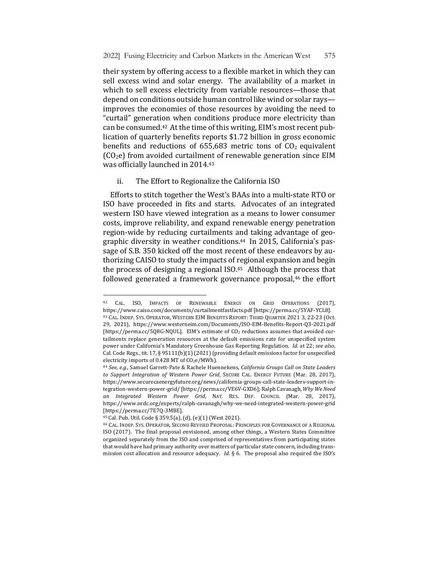their system by offering access to a flexible market in which they can sell excess wind and solar energy. The availability of a market in which to sell excess electricity from variable resources—those that depend on conditions outside human control like wind or solar rays improves the economies of those resources by avoiding the need to "curtail" generation when conditions produce more electricity than can be consumed.<sup>42</sup> At the time of this writing, EIM's most recent publication of quarterly benefits reports \$1.72 billion in gross economic benefits and reductions of  $655,683$  metric tons of  $CO<sub>2</sub>$  equivalent  $(CO<sub>2</sub>e)$  from avoided curtailment of renewable generation since EIM was officially launched in 2014.43

#### ii. The Effort to Regionalize the California ISO

Efforts to stitch together the West's BAAs into a multi-state RTO or ISO have proceeded in fits and starts. Advocates of an integrated western ISO have viewed integration as a means to lower consumer costs, improve reliability, and expand renewable energy penetration region-wide by reducing curtailments and taking advantage of geographic diversity in weather conditions.<sup>44</sup> In 2015, California's passage of S.B. 350 kicked off the most recent of these endeavors by authorizing CAISO to study the impacts of regional expansion and begin the process of designing a regional  $ISO^{45}$  Although the process that followed generated a framework governance proposal,<sup>46</sup> the effort

CAL. ISO, IMPACTS OF RENEWABLE ENERGY ON GRID OPERATIONS (2017), https://www.caiso.com/documents/curtailmentfastfacts.pdf [https://perma.cc/5YAF-YCL8]. <sup>43</sup> CAL. INDEP. SYS. OPERATOR, WESTERN EIM BENEFITS REPORT: THIRD QUARTER 2021 3, 22-23 (Oct. 29, 2021), https://www.westerneim.com/Documents/ISO-EIM-Benefits-Report-Q3-2021.pdf [https://perma.cc/5Q8G-NQUL]. EIM's estimate of CO<sub>2</sub> reductions assumes that avoided curtailments replace generation resources at the default emissions rate for unspecified system power under California's Mandatory Greenhouse Gas Reporting Regulation. *Id.* at 22; see also, Cal. Code Regs., tit.  $17$ , § 95111(b)(1) (2021) (providing default emissions factor for unspecified electricity imports of 0.428 MT of CO<sub>2</sub>e/MWh).

<sup>44</sup> See, e.g., Samuel Garrett-Pate & Rachele Huennekens, California Groups Call on State Leaders to Support Integration of Western Power Grid, SECURE CAL. ENERGY FUTURE (Mar. 28, 2017), https://www.securecaenergyfuture.org/news/california-groups-call-state-leaders-support-integration-western-power-grid/ [https://perma.cc/VE6V-GXD6]; Ralph Cavanagh, *Why We Need an Integrated Western Power Grid*, NAT. RES. DEF. COUNCIL (Mar. 28, 2017), https://www.nrdc.org/experts/ralph-cavanagh/why-we-need-integrated-western-power-grid [https://perma.cc/7E7Q-3MBE].

<sup>45</sup> Cal. Pub. Util. Code § 359.5(a), (d), (e)(1) (West 2021).

<sup>46</sup> CAL. INDEP. SYS. OPERATOR, SECOND REVISED PROPOSAL: PRINCIPLES FOR GOVERNANCE OF A REGIONAL ISO (2017). The final proposal envisioned, among other things, a Western States Committee organized separately from the ISO and comprised of representatives from participating states that would have had primary authority over matters of particular state concern, including transmission cost allocation and resource adequacy. *Id.* § 6. The proposal also required the ISO's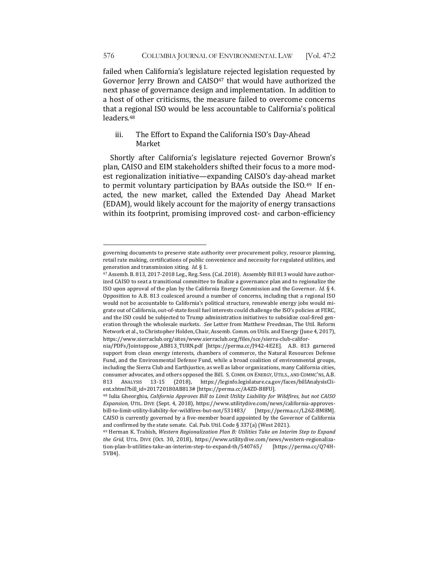failed when California's legislature rejected legislation requested by Governor Jerry Brown and CAISO<sup>47</sup> that would have authorized the next phase of governance design and implementation. In addition to a host of other criticisms, the measure failed to overcome concerns that a regional ISO would be less accountable to California's political leaders.48

## iii. The Effort to Expand the California ISO's Day-Ahead Market

Shortly after California's legislature rejected Governor Brown's plan, CAISO and EIM stakeholders shifted their focus to a more modest regionalization initiative—expanding CAISO's day-ahead market to permit voluntary participation by BAAs outside the ISO.<sup>49</sup> If enacted, the new market, called the Extended Day Ahead Market (EDAM), would likely account for the majority of energy transactions within its footprint, promising improved cost- and carbon-efficiency

governing documents to preserve state authority over procurement policy, resource planning, retail rate making, certifications of public convenience and necessity for regulated utilities, and generation and transmission siting. *Id.* § 1.

<sup>&</sup>lt;sup>47</sup> Assemb. B. 813, 2017-2018 Leg., Reg. Sess. (Cal. 2018). Assembly Bill 813 would have authorized CAISO to seat a transitional committee to finalize a governance plan and to regionalize the ISO upon approval of the plan by the California Energy Commission and the Governor. *Id.* § 4. Opposition to A.B. 813 coalesced around a number of concerns, including that a regional ISO would not be accountable to California's political structure, renewable energy jobs would migrate out of California, out-of-state fossil fuel interests could challenge the ISO's policies at FERC, and the ISO could be subjected to Trump administration initiatives to subsidize coal-fired generation through the wholesale markets. See Letter from Matthew Freedman, The Util. Reform Network et al., to Christopher Holden, Chair, Assemb. Comm. on Utils. and Energy (June 4, 2017), https://www.sierraclub.org/sites/www.sierraclub.org/files/sce/sierra-club-califor-

nia/PDFs/Jointoppose\_AB813\_TURN.pdf [https://perma.cc/J942-4E2E]. A.B. 813 garnered support from clean energy interests, chambers of commerce, the Natural Resources Defense Fund, and the Environmental Defense Fund, while a broad coalition of environmental groups, including the Sierra Club and Earthjustice, as well as labor organizations, many California cities, consumer advocates, and others opposed the Bill. S. COMM. ON ENERGY, UTILS., AND COMMC'NS, A.B. 813 ANALYSIS 13-15 (2018), https://leginfo.legislature.ca.gov/faces/billAnalysisClient.xhtml?bill\_id=201720180AB813# [https://perma.cc/A4ZD-B8FU].

<sup>&</sup>lt;sup>48</sup> Iulia Gheorghiu, *California Approves Bill to Limit Utility Liability for Wildfires, but not CAISO Expansion*, UTIL. DIVE (Sept. 4, 2018), https://www.utilitydive.com/news/california-approvesbill-to-limit-utility-liability-for-wildfires-but-not/531483/ [https://perma.cc/L26Z-BM8M]. CAISO is currently governed by a five-member board appointed by the Governor of California and confirmed by the state senate. Cal. Pub. Util. Code § 337(a) (West 2021).

<sup>&</sup>lt;sup>49</sup> Herman K. Trabish, *Western Regionalization Plan B: Utilities Take an Interim Step to Expand the Grid*, UTIL. DIVE (Oct. 30, 2018), https://www.utilitydive.com/news/western-regionalization-plan-b-utilities-take-an-interim-step-to-expand-th/540765/ [https://perma.cc/Q74H-5VB4].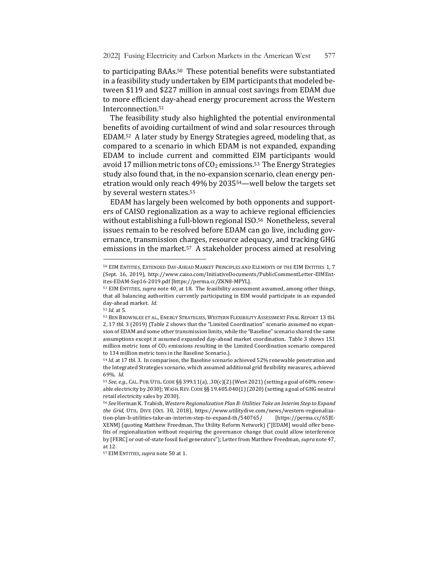2022] Fusing Electricity and Carbon Markets in the American West 577

to participating BAAs.<sup>50</sup> These potential benefits were substantiated in a feasibility study undertaken by EIM participants that modeled between \$119 and \$227 million in annual cost savings from EDAM due to more efficient day-ahead energy procurement across the Western Interconnection.51

The feasibility study also highlighted the potential environmental benefits of avoiding curtailment of wind and solar resources through EDAM.<sup>52</sup> A later study by Energy Strategies agreed, modeling that, as compared to a scenario in which EDAM is not expanded, expanding EDAM to include current and committed EIM participants would avoid 17 million metric tons of  $CO<sub>2</sub>$  emissions.<sup>53</sup> The Energy Strategies study also found that, in the no-expansion scenario, clean energy penetration would only reach 49% by 2035<sup>54</sup>—well below the targets set by several western states.<sup>55</sup>

EDAM has largely been welcomed by both opponents and supporters of CAISO regionalization as a way to achieve regional efficiencies without establishing a full-blown regional ISO.<sup>56</sup> Nonetheless, several issues remain to be resolved before EDAM can go live, including governance, transmission charges, resource adequacy, and tracking GHG emissions in the market.<sup>57</sup> A stakeholder process aimed at resolving

<sup>&</sup>lt;sup>50</sup> EIM ENTITIES, EXTENDED DAY-AHEAD MARKET PRINCIPLES AND ELEMENTS OF THE EIM ENTITIES 1, 7 (Sept. 16, 2019), http://www.caiso.com/InitiativeDocuments/PublicCommentLetter-EIMEntites-EDAM-Sep16-2019.pdf [https://perma.cc/ZKN8-MPYL].

<sup>&</sup>lt;sup>51</sup> EIM ENTITIES, *supra* note 40, at 18. The feasibility assessment assumed, among other things, that all balancing authorities currently participating in EIM would participate in an expanded day-ahead market. *Id.* 

<sup>52</sup> *Id*. at 5.

<sup>53</sup> BEN BROWNLEE ET AL., ENERGY STRATEGIES, WESTERN FLEXIBILITY ASSESSMENT FINAL REPORT 13 tbl. 2, 17 tbl. 3 (2019) (Table 2 shows that the "Limited Coordination" scenario assumed no expansion of EDAM and some other transmission limits, while the "Baseline" scenario shared the same assumptions except it assumed expanded day-ahead market coordination. Table 3 shows 151 million metric tons of  $CO<sub>2</sub>$  emissions resulting in the Limited Coordination scenario compared to 134 million metric tons in the Baseline Scenario.).

<sup>&</sup>lt;sup>54</sup> *Id.* at 17 tbl. 3. In comparison, the Baseline scenario achieved 52% renewable penetration and the Integrated Strategies scenario, which assumed additional grid flexibility measures, achieved 69%. *Id.*

<sup>55</sup> See, e.g., CAL. PUB. UTIL. CODE §§ 399.11(a), .30(c)(2) (West 2021) (setting a goal of 60% renewable electricity by 2030); WASH. REV. CODE §§ 19.405.040(1) (2020) (setting a goal of GHG neutral retail electricity sales by 2030).

<sup>56</sup> See Herman K. Trabish, Western Regionalization Plan B: Utilities Take an Interim Step to Expand *the Grid*, UTIL. DIVE (Oct. 30, 2018), https://www.utilitydive.com/news/western-regionalization-plan-b-utilities-take-an-interim-step-to-expand-th/540765/ [https://perma.cc/65JE-XENM] (quoting Matthew Freedman, The Utility Reform Network) ("[EDAM] would offer benefits of regionalization without requiring the governance change that could allow interference by [FERC] or out-of-state fossil fuel generators"); Letter from Matthew Freedman, *supra* note 47, at 12.

<sup>&</sup>lt;sup>57</sup> EIM ENTITIES, supra note 50 at 1.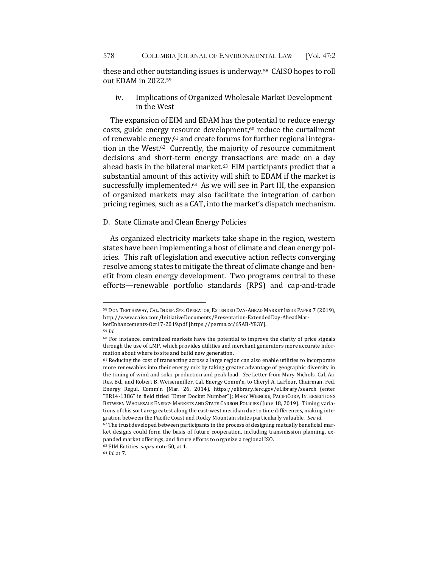these and other outstanding issues is underway.<sup>58</sup> CAISO hopes to roll out EDAM in 2022.<sup>59</sup>

iv. Implications of Organized Wholesale Market Development in the West

The expansion of EIM and EDAM has the potential to reduce energy costs, guide energy resource development, $60$  reduce the curtailment of renewable energy,<sup>61</sup> and create forums for further regional integration in the West.<sup>62</sup> Currently, the majority of resource commitment decisions and short-term energy transactions are made on a day ahead basis in the bilateral market. $63$  EIM participants predict that a substantial amount of this activity will shift to EDAM if the market is successfully implemented. $64$  As we will see in Part III, the expansion of organized markets may also facilitate the integration of carbon pricing regimes, such as a CAT, into the market's dispatch mechanism.

#### D. State Climate and Clean Energy Policies

As organized electricity markets take shape in the region, western states have been implementing a host of climate and clean energy policies. This raft of legislation and executive action reflects converging resolve among states to mitigate the threat of climate change and benefit from clean energy development. Two programs central to these efforts—renewable portfolio standards (RPS) and cap-and-trade

<sup>&</sup>lt;sup>58</sup> DON TRETHEWAY, CAL. INDEP. SYS. OPERATOR, EXTENDED DAY-AHEAD MARKET ISSUE PAPER 7 (2019), http://www.caiso.com/InitiativeDocuments/Presentation-ExtendedDay-AheadMarketEnhancements-Oct17-2019.pdf [https://perma.cc/6SAB-Y83Y].

<sup>59</sup> *Id.*

<sup>&</sup>lt;sup>60</sup> For instance, centralized markets have the potential to improve the clarity of price signals through the use of LMP, which provides utilities and merchant generators more accurate information about where to site and build new generation.

<sup>&</sup>lt;sup>61</sup> Reducing the cost of transacting across a large region can also enable utilities to incorporate more renewables into their energy mix by taking greater advantage of geographic diversity in the timing of wind and solar production and peak load. See Letter from Mary Nichols, Cal. Air Res. Bd., and Robert B. Weisenmiller, Cal. Energy Comm'n, to Cheryl A. LaFleur, Chairman, Fed. Energy Regul. Comm'n (Mar. 26, 2014), https://elibrary.ferc.gov/eLibrary/search (enter "ER14-1386" in field titled "Enter Docket Number"); MARY WIENCKE, PACIFICORP, INTERSECTIONS BETWEEN WHOLESALE ENERGY MARKETS AND STATE CARBON POLICIES (June 18, 2019). Timing variations of this sort are greatest along the east-west meridian due to time differences, making integration between the Pacific Coast and Rocky Mountain states particularly valuable. See id.

 $62$  The trust developed between participants in the process of designing mutually beneficial market designs could form the basis of future cooperation, including transmission planning, expanded market offerings, and future efforts to organize a regional ISO.

<sup>&</sup>lt;sup>63</sup> EIM Entities, *supra* note 50, at 1.

<sup>64</sup> *Id*. at 7.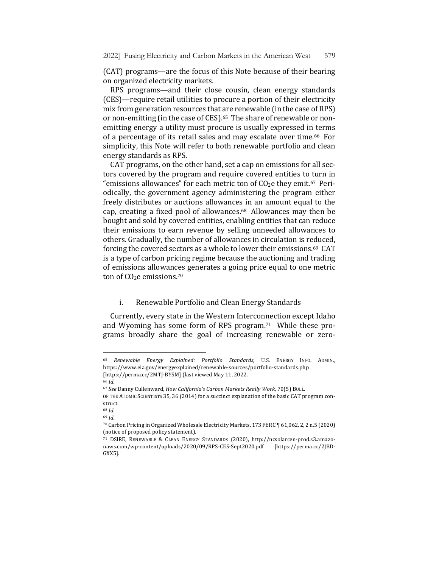(CAT) programs—are the focus of this Note because of their bearing on organized electricity markets.

RPS programs—and their close cousin, clean energy standards (CES)—require retail utilities to procure a portion of their electricity mix from generation resources that are renewable (in the case of RPS) or non-emitting (in the case of CES).<sup>65</sup> The share of renewable or nonemitting energy a utility must procure is usually expressed in terms of a percentage of its retail sales and may escalate over time.<sup>66</sup> For simplicity, this Note will refer to both renewable portfolio and clean energy standards as RPS.

CAT programs, on the other hand, set a cap on emissions for all sectors covered by the program and require covered entities to turn in "emissions allowances" for each metric ton of  $CO<sub>2</sub>e$  they emit.<sup>67</sup> Periodically, the government agency administering the program either freely distributes or auctions allowances in an amount equal to the cap, creating a fixed pool of allowances.<sup>68</sup> Allowances may then be bought and sold by covered entities, enabling entities that can reduce their emissions to earn revenue by selling unneeded allowances to others. Gradually, the number of allowances in circulation is reduced, forcing the covered sectors as a whole to lower their emissions.<sup>69</sup> CAT is a type of carbon pricing regime because the auctioning and trading of emissions allowances generates a going price equal to one metric ton of  $CO<sub>2</sub>e$  emissions.<sup>70</sup>

#### i. Renewable Portfolio and Clean Energy Standards

Currently, every state in the Western Interconnection except Idaho and Wyoming has some form of RPS program.<sup>71</sup> While these programs broadly share the goal of increasing renewable or zero-

<sup>65</sup> Renewable Energy Explained: Portfolio Standards, U.S. ENERGY INFO. ADMIN., https://www.eia.gov/energyexplained/renewable-sources/portfolio-standards.php [https://perma.cc/2MTJ-BYSM] (last viewed May 11, 2022.

<sup>66</sup> *Id.*

<sup>67</sup> See Danny Cullenward, *How California's Carbon Markets Really Work*, 70(5) BULL.

OF THE ATOMIC SCIENTISTS 35, 36 (2014) for a succinct explanation of the basic CAT program construct.

<sup>68</sup> *Id.*

<sup>69</sup> *Id.*

<sup>70</sup> Carbon Pricing in Organized Wholesale Electricity Markets, 173 FERC ¶ 61,062, 2, 2 n.5 (2020) (notice of proposed policy statement).

<sup>71</sup> DSIRE, RENEWABLE & CLEAN ENERGY STANDARDS (2020), http://ncsolarcen-prod.s3.amazonaws.com/wp-content/uploads/2020/09/RPS-CES-Sept2020.pdf [https://perma.cc/2JBD-GXX5].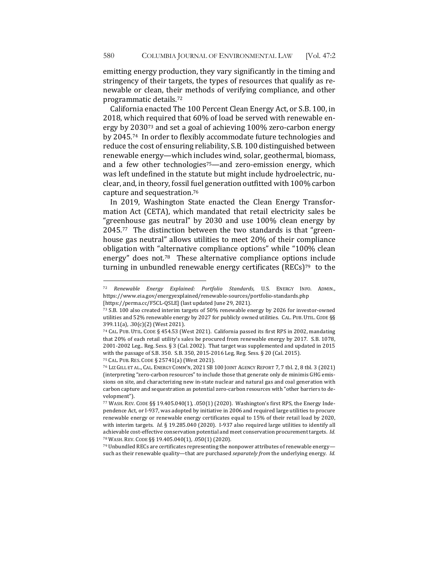emitting energy production, they vary significantly in the timing and stringency of their targets, the types of resources that qualify as renewable or clean, their methods of verifying compliance, and other programmatic details.72

California enacted The 100 Percent Clean Energy Act, or S.B. 100, in 2018, which required that 60% of load be served with renewable energy by 2030<sup>73</sup> and set a goal of achieving 100% zero-carbon energy by 2045.74 In order to flexibly accommodate future technologies and reduce the cost of ensuring reliability, S.B. 100 distinguished between renewable energy—which includes wind, solar, geothermal, biomass, and a few other technologies<sup>75</sup>—and zero-emission energy, which was left undefined in the statute but might include hydroelectric, nuclear, and, in theory, fossil fuel generation outfitted with 100% carbon capture and sequestration.<sup>76</sup>

In 2019, Washington State enacted the Clean Energy Transformation Act (CETA), which mandated that retail electricity sales be "greenhouse gas neutral" by 2030 and use 100% clean energy by  $2045$ .<sup>77</sup> The distinction between the two standards is that "greenhouse gas neutral" allows utilities to meet 20% of their compliance obligation with "alternative compliance options" while "100% clean energy" does not.<sup>78</sup> These alternative compliance options include turning in unbundled renewable energy certificates  $(REG)^{79}$  to the

<sup>75</sup> CAL. PUB. RES. CODE § 25741(a) (West 2021).

79 Unbundled RECs are certificates representing the nonpower attributes of renewable energysuch as their renewable quality—that are purchased *separately from* the underlying energy. Id.

<sup>72</sup> *Renewable Energy Explained: Portfolio Standards*, U.S. ENERGY INFO. ADMIN., https://www.eia.gov/energyexplained/renewable-sources/portfolio-standards.php [https://perma.cc/F5CL-QSLE] (last updated June 29, 2021).

<sup>73</sup> S.B. 100 also created interim targets of 50% renewable energy by 2026 for investor-owned utilities and 52% renewable energy by 2027 for publicly owned utilities. CAL. PUB. UTIL. CODE §§ 399.11(a), .30(c)(2) (West 2021).

<sup>74</sup> CAL. PUB. UTIL. CODE § 454.53 (West 2021). California passed its first RPS in 2002, mandating that 20% of each retail utility's sales be procured from renewable energy by 2017. S.B. 1078, 2001-2002 Leg.. Reg. Sess. § 3 (Cal. 2002). That target was supplemented and updated in 2015 with the passage of S.B. 350. S.B. 350, 2015-2016 Leg, Reg. Sess. § 20 (Cal. 2015).

<sup>76</sup> LIZ GILL ET AL., CAL. ENERGY COMM'N, 2021 SB 100 JOINT AGENCY REPORT 7, 7 tbl. 2, 8 tbl. 3 (2021) (interpreting "zero-carbon resources" to include those that generate only de minimis GHG emissions on site, and characterizing new in-state nuclear and natural gas and coal generation with carbon capture and sequestration as potential zero-carbon resources with "other barriers to development").

<sup>77</sup> WASH. REV. CODE §§ 19.405.040(1), .050(1) (2020). Washington's first RPS, the Energy Independence Act, or I-937, was adopted by initiative in 2006 and required large utilities to procure renewable energy or renewable energy certificates equal to 15% of their retail load by 2020, with interim targets. *Id.* § 19.285.040 (2020). I-937 also required large utilities to identify all achievable cost-effective conservation potential and meet conservation procurement targets. *Id.* 78 WASH. REV. CODE §§ 19.405.040(1), .050(1) (2020).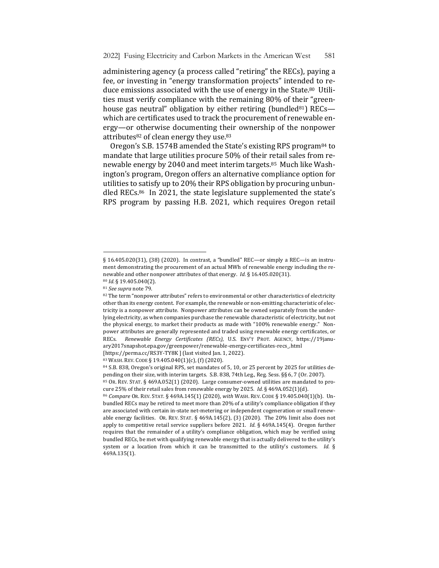administering agency (a process called "retiring" the RECs), paying a fee, or investing in "energy transformation projects" intended to reduce emissions associated with the use of energy in the State.<sup>80</sup> Utilities must verify compliance with the remaining 80% of their "greenhouse gas neutral" obligation by either retiring (bundled<sup>81</sup>) RECs which are certificates used to track the procurement of renewable energy—or otherwise documenting their ownership of the nonpower attributes $82$  of clean energy they use. $83$ 

Oregon's S.B. 1574B amended the State's existing RPS program<sup>84</sup> to mandate that large utilities procure 50% of their retail sales from renewable energy by 2040 and meet interim targets.<sup>85</sup> Much like Washington's program, Oregon offers an alternative compliance option for utilities to satisfy up to 20% their RPS obligation by procuring unbundled RECs. $86$  In 2021, the state legislature supplemented the state's RPS program by passing H.B. 2021, which requires Oregon retail

<sup>§</sup>  $16.405.020(31)$ ,  $(38)$   $(2020)$ . In contrast, a "bundled" REC—or simply a REC—is an instrument demonstrating the procurement of an actual MWh of renewable energy including the renewable and other nonpower attributes of that energy. *Id.* § 16.405.020(31).

<sup>80</sup> *Id.* § 19.405.040(2).

<sup>&</sup>lt;sup>81</sup> See supra note 79.

<sup>82</sup> The term "nonpower attributes" refers to environmental or other characteristics of electricity other than its energy content. For example, the renewable or non-emitting characteristic of electricity is a nonpower attribute. Nonpower attributes can be owned separately from the underlying electricity, as when companies purchase the renewable characteristic of electricity, but not the physical energy, to market their products as made with "100% renewable energy." Nonpower attributes are generally represented and traded using renewable energy certificates, or RECs. Renewable Energy Certificates (RECs), U.S. ENV'T PROT. AGENCY, https://19january2017snapshot.epa.gov/greenpower/renewable-energy-certificates-recs\_.html 

<sup>[</sup>https://perma.cc/RS3Y-TY8K ] (last visited Jan. 1, 2022).

<sup>83</sup> WASH. REV. CODE § 19.405.040(1)(c), (f) (2020).

<sup>84</sup> S.B. 838, Oregon's original RPS, set mandates of 5, 10, or 25 percent by 2025 for utilities depending on their size, with interim targets. S.B. 838, 74th Leg., Reg. Sess. §§ 6, 7 (Or. 2007).

<sup>85</sup> OR. REV. STAT. § 469A.052(1) (2020). Large consumer-owned utilities are mandated to procure 25% of their retail sales from renewable energy by 2025. *Id.* § 469A.052(1)(d).

<sup>86</sup> *Compare* OR. REV. STAT. § 469A.145(1) (2020), with WASH. REV. CODE § 19.405.040(1)(b). Unbundled RECs may be retired to meet more than 20% of a utility's compliance obligation if they are associated with certain in-state net-metering or independent cogeneration or small renewable energy facilities. OR. REV. STAT.  $\S$  469A.145(2), (3) (2020). The 20% limit also does not apply to competitive retail service suppliers before 2021. *Id*. § 469A.145(4). Oregon further requires that the remainder of a utility's compliance obligation, which may be verified using bundled RECs, be met with qualifying renewable energy that is actually delivered to the utility's system or a location from which it can be transmitted to the utility's customers. *Id.* § 469A.135(1).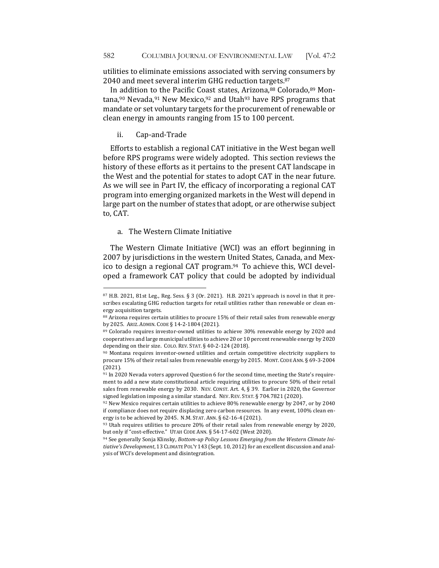utilities to eliminate emissions associated with serving consumers by 2040 and meet several interim GHG reduction targets.<sup>87</sup>

In addition to the Pacific Coast states, Arizona,88 Colorado,89 Mon- $\tau$ tana,<sup>90</sup> Nevada,<sup>91</sup> New Mexico,<sup>92</sup> and Utah<sup>93</sup> have RPS programs that mandate or set voluntary targets for the procurement of renewable or clean energy in amounts ranging from 15 to 100 percent.

## ii. Cap-and-Trade

Efforts to establish a regional CAT initiative in the West began well before RPS programs were widely adopted. This section reviews the history of these efforts as it pertains to the present CAT landscape in the West and the potential for states to adopt CAT in the near future. As we will see in Part IV, the efficacy of incorporating a regional CAT program into emerging organized markets in the West will depend in large part on the number of states that adopt, or are otherwise subject to, CAT.

#### a. The Western Climate Initiative

The Western Climate Initiative (WCI) was an effort beginning in 2007 by jurisdictions in the western United States, Canada, and Mexico to design a regional CAT program. $94$  To achieve this, WCI developed a framework CAT policy that could be adopted by individual

<sup>87</sup> H.B. 2021, 81st Leg., Reg. Sess. § 3 (Or. 2021). H.B. 2021's approach is novel in that it prescribes escalating GHG reduction targets for retail utilities rather than renewable or clean energy acquisition targets.

<sup>88</sup> Arizona requires certain utilities to procure 15% of their retail sales from renewable energy by 2025. ARIZ. ADMIN. CODE § 14-2-1804 (2021).

<sup>89</sup> Colorado requires investor-owned utilities to achieve 30% renewable energy by 2020 and cooperatives and large municipal utilities to achieve 20 or 10 percent renewable energy by 2020 depending on their size. COLO. REV. STAT. § 40-2-124 (2018).

<sup>90</sup> Montana requires investor-owned utilities and certain competitive electricity suppliers to procure 15% of their retail sales from renewable energy by 2015. MONT. CODE ANN. § 69-3-2004 (2021).

<sup>91</sup> In 2020 Nevada voters approved Question 6 for the second time, meeting the State's requirement to add a new state constitutional article requiring utilities to procure 50% of their retail sales from renewable energy by 2030. NEV. CONST. Art.  $4, \S$  39. Earlier in 2020, the Governor signed legislation imposing a similar standard. NEV. REV. STAT.  $\S$  704.7821 (2020).

<sup>92</sup> New Mexico requires certain utilities to achieve 80% renewable energy by 2047, or by 2040 if compliance does not require displacing zero carbon resources. In any event, 100% clean energy is to be achieved by 2045. N.M. STAT. ANN. § 62-16-4 (2021).

<sup>93</sup> Utah requires utilities to procure 20% of their retail sales from renewable energy by 2020, but only if "cost-effective." UTAH CODE ANN. § 54-17-602 (West 2020).

<sup>&</sup>lt;sup>94</sup> See generally Sonja Klinsky, *Bottom-up Policy Lessons Emerging from the Western Climate Ini*tiative's Development, 13 CLIMATE POL'Y 143 (Sept. 10, 2012) for an excellent discussion and analysis of WCI's development and disintegration.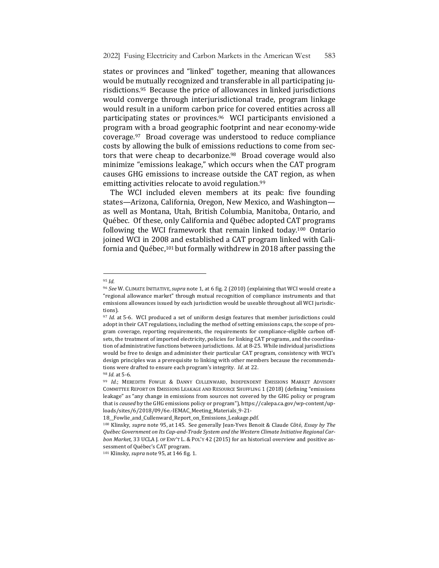states or provinces and "linked" together, meaning that allowances would be mutually recognized and transferable in all participating jurisdictions.<sup>95</sup> Because the price of allowances in linked jurisdictions would converge through interjurisdictional trade, program linkage would result in a uniform carbon price for covered entities across all participating states or provinces.<sup>96</sup> WCI participants envisioned a program with a broad geographic footprint and near economy-wide coverage.<sup>97</sup> Broad coverage was understood to reduce compliance costs by allowing the bulk of emissions reductions to come from sectors that were cheap to decarbonize. $98$  Broad coverage would also minimize "emissions leakage," which occurs when the CAT program causes GHG emissions to increase outside the CAT region, as when emitting activities relocate to avoid regulation.<sup>99</sup>

The WCI included eleven members at its peak: five founding states—Arizona, California, Oregon, New Mexico, and Washington as well as Montana, Utah, British Columbia, Manitoba, Ontario, and Québec. Of these, only California and Québec adopted CAT programs following the WCI framework that remain linked today.<sup>100</sup> Ontario joined WCI in 2008 and established a CAT program linked with California and Québec,<sup>101</sup> but formally withdrew in 2018 after passing the

<sup>95</sup> *Id.*

<sup>96</sup> See W. CLIMATE INITIATIVE, *supra* note 1, at 6 fig. 2 (2010) (explaining that WCI would create a "regional allowance market" through mutual recognition of compliance instruments and that emissions allowances issued by each jurisdiction would be useable throughout all WCI jurisdictions).

<sup>&</sup>lt;sup>97</sup> *Id.* at 5-6. WCI produced a set of uniform design features that member jurisdictions could adopt in their CAT regulations, including the method of setting emissions caps, the scope of program coverage, reporting requirements, the requirements for compliance-eligible carbon offsets, the treatment of imported electricity, policies for linking CAT programs, and the coordination of administrative functions between jurisdictions. *Id.* at 8-25. While individual jurisdictions would be free to design and administer their particular CAT program, consistency with WCI's design principles was a prerequisite to linking with other members because the recommendations were drafted to ensure each program's integrity. *Id.* at 22. 98 *Id.* at 5-6.

<sup>99</sup> *Id.*; MEREDITH FOWLIE & DANNY CULLENWARD, INDEPENDENT EMISSIONS MARKET ADVISORY COMMITTEE REPORT ON EMISSIONS LEAKAGE AND RESOURCE SHUFFLING 1 (2018) (defining "emissions leakage" as "any change in emissions from sources not covered by the GHG policy or program that is *caused* by the GHG emissions policy or program"), https://calepa.ca.gov/wp-content/uploads/sites/6/2018/09/6e.-IEMAC\_Meeting\_Materials\_9-21-

<sup>18</sup>\_\_Fowlie\_and\_Cullenward\_Report\_on\_Emissions\_Leakage.pdf.

<sup>&</sup>lt;sup>100</sup> Klinsky, *supra* note 95, at 145. See generally Jean-Yves Benoit & Claude Côté, *Essay by The* Québec Government on Its Cap-and-Trade System and the Western Climate Initiative Regional Car*bon Market*, 33 UCLA J. OF ENV'T L. & POL'Y 42 (2015) for an historical overview and positive assessment of Québec's CAT program.

<sup>&</sup>lt;sup>101</sup> Klinsky, *supra* note 95, at 146 fig. 1.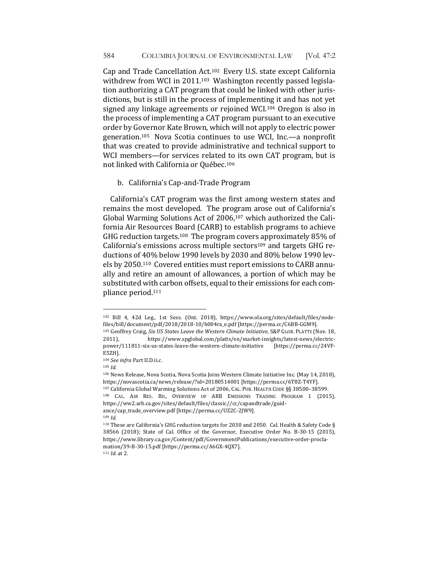Cap and Trade Cancellation Act.<sup>102</sup> Every U.S. state except California withdrew from WCI in  $2011^{103}$  Washington recently passed legislation authorizing a CAT program that could be linked with other jurisdictions, but is still in the process of implementing it and has not yet signed any linkage agreements or rejoined WCI.<sup>104</sup> Oregon is also in the process of implementing a CAT program pursuant to an executive order by Governor Kate Brown, which will not apply to electric power generation.<sup>105</sup> Nova Scotia continues to use WCI, Inc.—a nonprofit that was created to provide administrative and technical support to WCI members—for services related to its own CAT program, but is not linked with California or Québec.<sup>106</sup>

b. California's Cap-and-Trade Program

California's CAT program was the first among western states and remains the most developed. The program arose out of California's Global Warming Solutions Act of 2006,<sup>107</sup> which authorized the California Air Resources Board (CARB) to establish programs to achieve GHG reduction targets.<sup>108</sup> The program covers approximately 85% of California's emissions across multiple sectors<sup>109</sup> and targets GHG reductions of 40% below 1990 levels by 2030 and 80% below 1990 levels by 2050.<sup>110</sup> Covered entities must report emissions to CARB annually and retire an amount of allowances, a portion of which may be substituted with carbon offsets, equal to their emissions for each compliance period.<sup>111</sup>

<sup>105</sup> *Id.*

<sup>102</sup> Bill 4, 42d Leg., 1st Sess. (Ont. 2018), https://www.ola.org/sites/default/files/nodefiles/bill/document/pdf/2018/2018-10/b004ra\_e.pdf [https://perma.cc/C6BB-GGM9].

<sup>&</sup>lt;sup>103</sup> Geoffrey Craig, *Six US States Leave the Western Climate Initiative*, S&P GLOB. PLATTS (Nov. 18, 2011), https://www.spglobal.com/platts/en/market-insights/latest-news/electricpower/111811-six-us-states-leave-the-western-climate-initiative [https://perma.cc/24VF-E5ZH].

<sup>104</sup> See infra Part II.D.ii.c.

<sup>106</sup> News Release, Nova Scotia, Nova Scotia Joins Western Climate Initiative Inc. (May 14, 2018), https://novascotia.ca/news/release/?id=20180514001 [https://perma.cc/6T8Z-T4YF]. 107 California Global Warming Solutions Act of 2006, CAL. PUB. HEALTH CODE §§ 38500-38599. 108 CAL. AIR RES. BD., OVERVIEW OF ARB EMISSIONS TRADING PROGRAM 1 (2015), https://ww2.arb.ca.gov/sites/default/files/classic//cc/capandtrade/guidance/cap\_trade\_overview.pdf [https://perma.cc/UZ2C-2JW9]. <sup>109</sup> *Id.*

<sup>&</sup>lt;sup>110</sup> These are California's GHG reduction targets for 2030 and 2050. Cal. Health & Safety Code § 38566 (2018); State of Cal. Office of the Governor, Executive Order No. B-30-15 (2015), https://www.library.ca.gov/Content/pdf/GovernmentPublications/executive-order-proclamation/39-B-30-15.pdf [https://perma.cc/A6GX-4QX7]. 111 *Id.* at 2.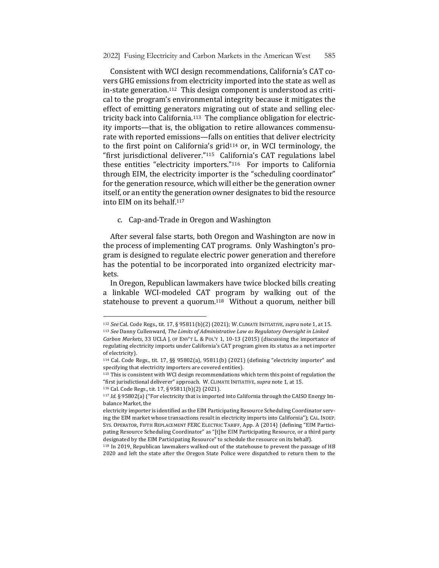Consistent with WCI design recommendations, California's CAT covers GHG emissions from electricity imported into the state as well as in-state generation.<sup>112</sup> This design component is understood as critical to the program's environmental integrity because it mitigates the effect of emitting generators migrating out of state and selling electricity back into California.<sup>113</sup> The compliance obligation for electricity imports—that is, the obligation to retire allowances commensurate with reported emissions-falls on entities that deliver electricity to the first point on California's grid<sup>114</sup> or, in WCI terminology, the "first jurisdictional deliverer."<sup>115</sup> California's CAT regulations label these entities "electricity importers."<sup>116</sup> For imports to California through EIM, the electricity importer is the "scheduling coordinator" for the generation resource, which will either be the generation owner itself, or an entity the generation owner designates to bid the resource into EIM on its behalf.<sup>117</sup>

#### c. Cap-and-Trade in Oregon and Washington

After several false starts, both Oregon and Washington are now in the process of implementing CAT programs. Only Washington's program is designed to regulate electric power generation and therefore has the potential to be incorporated into organized electricity markets.

In Oregon, Republican lawmakers have twice blocked bills creating a linkable WCI-modeled CAT program by walking out of the statehouse to prevent a quorum.<sup>118</sup> Without a quorum, neither bill

116 Cal. Code Regs., tit. 17, § 95811(b)(2) (2021).

<sup>112</sup> *See* Cal. Code Regs., tit. 17, § 95811(b)(2) (2021); W. CLIMATE INITIATIVE, *supra* note 1, at 15. 113 See Danny Cullenward, *The Limits of Administrative Law as Regulatory Oversight in Linked Carbon Markets*, 33 UCLA J. OF ENV'T L. & POL'Y 1, 10-13 (2015) (discussing the importance of

regulating electricity imports under California's CAT program given its status as a net importer of electricity).

 $114$  Cal. Code Regs., tit. 17, §§ 95802(a), 95811(b) (2021) (defining "electricity importer" and specifying that electricity importers are covered entities).

<sup>115</sup> This is consistent with WCI design recommendations which term this point of regulation the "first jurisdictional deliverer" approach. W. CLIMATE INITIATIVE, *supra* note 1, at 15.

<sup>117</sup> *Id.* § 95802(a) ("For electricity that is imported into California through the CAISO Energy Imbalance Market, the

electricity importer is identified as the EIM Participating Resource Scheduling Coordinator serving the EIM market whose transactions result in electricity imports into California"); CAL. INDEP. SYS. OPERATOR, FIFTH REPLACEMENT FERC ELECTRIC TARIFF, App. A (2014) (defining "EIM Participating Resource Scheduling Coordinator" as "[t]he EIM Participating Resource, or a third party designated by the EIM Participating Resource" to schedule the resource on its behalf).

<sup>&</sup>lt;sup>118</sup> In 2019, Republican lawmakers walked-out of the statehouse to prevent the passage of HB 2020 and left the state after the Oregon State Police were dispatched to return them to the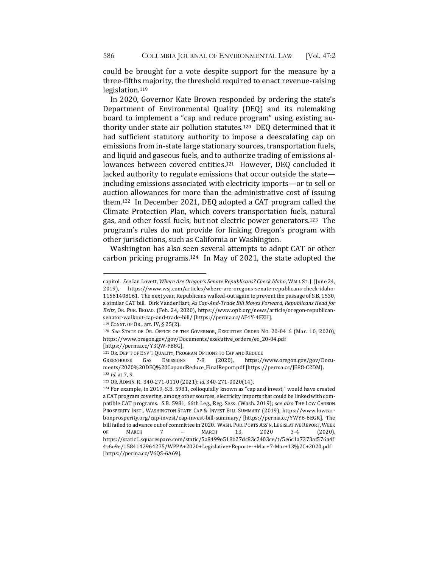could be brought for a vote despite support for the measure by a three-fifths majority, the threshold required to enact revenue-raising legislation.119

In 2020, Governor Kate Brown responded by ordering the state's Department of Environmental Quality (DEQ) and its rulemaking board to implement a "cap and reduce program" using existing authority under state air pollution statutes.<sup>120</sup> DEQ determined that it had sufficient statutory authority to impose a deescalating cap on emissions from in-state large stationary sources, transportation fuels, and liquid and gaseous fuels, and to authorize trading of emissions allowances between covered entities.<sup>121</sup> However, DEQ concluded it lacked authority to regulate emissions that occur outside the stateincluding emissions associated with electricity imports—or to sell or auction allowances for more than the administrative cost of issuing them.<sup>122</sup> In December 2021, DEQ adopted a CAT program called the Climate Protection Plan, which covers transportation fuels, natural gas, and other fossil fuels, but not electric power generators.<sup>123</sup> The program's rules do not provide for linking Oregon's program with other jurisdictions, such as California or Washington.

Washington has also seen several attempts to adopt CAT or other carbon pricing programs.<sup>124</sup> In May of 2021, the state adopted the

capitol. See Ian Lovett, Where Are Oregon's Senate Republicans? Check Idaho, WALL ST. J. (June 24, 2019), https://www.wsj.com/articles/where-are-oregons-senate-republicans-check-idaho-11561408161. The next year, Republicans walked-out again to prevent the passage of S.B. 1530, a similar CAT bill. Dirk VanderHart, As Cap-And-Trade Bill Moves Forward, Republicans Head for Exits, OR. PUB. BROAD. (Feb. 24, 2020), https://www.opb.org/news/article/oregon-republicansenator-walkout-cap-and-trade-bill/ [https://perma.cc/AF4Y-4FZH].

 $119$  CONST. OF OR., art. IV, § 25(2).

<sup>&</sup>lt;sup>120</sup> See STATE OF OR. OFFICE OF THE GOVERNOR, EXECUTIVE ORDER NO. 20-04 6 (Mar. 10, 2020), https://www.oregon.gov/gov/Documents/executive\_orders/eo\_20-04.pdf [https://perma.cc/Y3QW-FB8G]. 

<sup>121</sup> OR. DEP'T OF ENV'T QUALITY, PROGRAM OPTIONS TO CAP AND REDUCE

GREENHOUSE GAS EMISSIONS 7-8 (2020), https://www.oregon.gov/gov/Documents/2020%20DEQ%20CapandReduce\_FinalReport.pdf [https://perma.cc/JE88-C2DM]. 122 *Id.* at 7, 9.

<sup>123</sup> OR. ADMIN. R. 340-271-0110 (2021); *id.* 340-271-0020(14).

<sup>124</sup> For example, in 2019, S.B. 5981, colloquially known as "cap and invest," would have created a CAT program covering, among other sources, electricity imports that could be linked with compatible CAT programs. S.B. 5981, 66th Leg., Reg. Sess. (Wash. 2019); see also THE LOW CARBON PROSPERITY INST., WASHINGTON STATE CAP & INVEST BILL SUMMARY (2019), https://www.lowcarbonprosperity.org/cap-invest/cap-invest-bill-summary/ [https://perma.cc/YWY6-6EGK]. The bill failed to advance out of committee in 2020. WASH. PUB. PORTS ASS'N, LEGISLATIVE REPORT, WEEK OF MARCH 7 – MARCH 13, 2020 3-4 (2020), https://static1.squarespace.com/static/5a8499e518b27dc83c2403ce/t/5e6c1a7373af576a4f 4c6e9e/1584142964275/WPPA+2020+Legislative+Report+-+Mar+7-Mar+13%2C+2020.pdf [https://perma.cc/V6QS-6A69].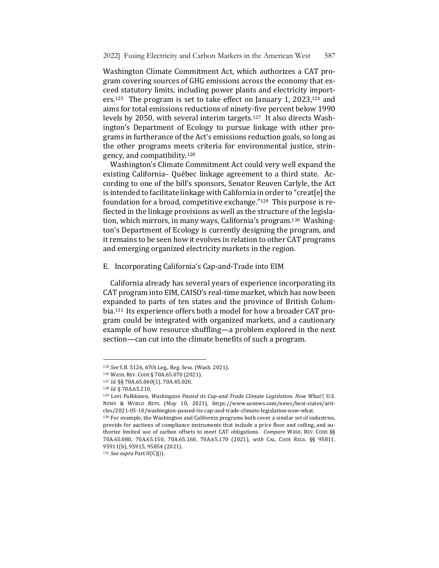Washington Climate Commitment Act, which authorizes a CAT program covering sources of GHG emissions across the economy that exceed statutory limits, including power plants and electricity importers.<sup>125</sup> The program is set to take effect on January 1, 2023.<sup>126</sup> and aims for total emissions reductions of ninety-five percent below 1990 levels by 2050, with several interim targets.<sup>127</sup> It also directs Washington's Department of Ecology to pursue linkage with other programs in furtherance of the Act's emissions reduction goals, so long as the other programs meets criteria for environmental justice, stringency, and compatibility.<sup>128</sup>

Washington's Climate Commitment Act could very well expand the existing California- Québec linkage agreement to a third state. According to one of the bill's sponsors, Senator Reuven Carlyle, the Act is intended to facilitate linkage with California in order to "creat[e] the foundation for a broad, competitive exchange." $129$  This purpose is reflected in the linkage provisions as well as the structure of the legislation, which mirrors, in many ways, California's program.<sup>130</sup> Washington's Department of Ecology is currently designing the program, and it remains to be seen how it evolves in relation to other CAT programs and emerging organized electricity markets in the region.

E. Incorporating California's Cap-and-Trade into EIM

California already has several years of experience incorporating its CAT program into EIM, CAISO's real-time market, which has now been expanded to parts of ten states and the province of British Columbia.<sup>131</sup> Its experience offers both a model for how a broader CAT program could be integrated with organized markets, and a cautionary example of how resource shuffling—a problem explored in the next section—can cut into the climate benefits of such a program.

<sup>125</sup> See S.B. 5126, 67th Leg., Reg. Sess. (Wash. 2021).

<sup>126</sup> WASH. REV. CODE § 70A.65.070 (2021).

<sup>127</sup> *Id.* §§ 70A.65.060(1), 70A.45.020.

<sup>128</sup> *Id.* § 70A.65.210.

<sup>129</sup> Levi Pulkkinen, *Washington Passed its Cap-and-Trade Climate Legislation. Now What?*, U.S. NEWS & WORLD REPS. (May 10, 2021), https://www.usnews.com/news/best-states/articles/2021-05-10/washington-passed-its-cap-and-trade-climate-legislation-now-what. 

<sup>130</sup> For example, the Washington and California programs both cover a similar set of industries, provide for auctions of compliance instruments that include a price floor and ceiling, and authorize limited use of carbon offsets to meet CAT obligations. *Compare* WASH. REV. CODE §§ 70A.65.080, 70A.65.150, 70A.65.160, 70A.65.170 (2021), *with* CAL. CODE REGS. §§ 95811, 95911(b), 95915, 95854 (2021).

<sup>131</sup> See supra Part II(C)(i).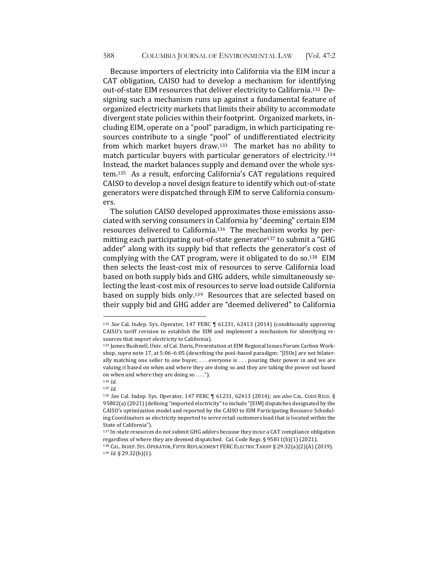Because importers of electricity into California via the EIM incur a CAT obligation, CAISO had to develop a mechanism for identifying out-of-state EIM resources that deliver electricity to California.<sup>132</sup> Designing such a mechanism runs up against a fundamental feature of organized electricity markets that limits their ability to accommodate divergent state policies within their footprint. Organized markets, including EIM, operate on a "pool" paradigm, in which participating resources contribute to a single "pool" of undifferentiated electricity from which market buyers draw.<sup>133</sup> The market has no ability to match particular buyers with particular generators of electricity.<sup>134</sup> Instead, the market balances supply and demand over the whole system.<sup>135</sup> As a result, enforcing California's CAT regulations required CAISO to develop a novel design feature to identify which out-of-state generators were dispatched through EIM to serve California consumers.

The solution CAISO developed approximates those emissions associated with serving consumers in California by "deeming" certain EIM resources delivered to California.<sup>136</sup> The mechanism works by permitting each participating out-of-state generator<sup>137</sup> to submit a "GHG" adder" along with its supply bid that reflects the generator's cost of complying with the CAT program, were it obligated to do so.<sup>138</sup> EIM then selects the least-cost mix of resources to serve California load based on both supply bids and GHG adders, while simultaneously selecting the least-cost mix of resources to serve load outside California based on supply bids only.<sup>139</sup> Resources that are selected based on their supply bid and GHG adder are "deemed delivered" to California

<sup>&</sup>lt;sup>132</sup> See Cal. Indep. Sys. Operator, 147 FERC \ 61231, 62413 (2014) (conditionally approving CAISO's tariff revision to establish the EIM and implement a mechanism for identifying resources that import electricity to California).

<sup>133</sup> James Bushnell, Univ. of Cal. Davis, Presentation at EIM Regional Issues Forum Carbon Workshop, *supra* note 17, at 5:06-6:05 (describing the pool-based paradigm: "[ISOs] are not bilaterally matching one seller to one buyer, ... everyone is ... pouring their power in and we are valuing it based on when and where they are doing so and they are taking the power out based on when and where they are doing so  $\dots$ .").

<sup>134</sup> *Id.*

<sup>135</sup> *Id.*

<sup>136</sup> *See* Cal. Indep. Sys. Operator, 147 FERC 1 61231, 62413 (2014); *see also* CAL. CODE REGS. § 95802(a) (2021) (defining "imported electricity" to include "[EIM] dispatches designated by the CAISO's optimization model and reported by the CAISO to EIM Participating Resource Scheduling Coordinators as electricity imported to serve retail customers load that is located within the State of California").

<sup>137</sup> In-state resources do not submit GHG adders because they incur a CAT compliance obligation regardless of where they are deemed dispatched. Cal. Code Regs.  $\S 95811(b)(1)$  (2021).

<sup>138</sup> CAL. INDEP. SYS. OPERATOR, FIFTH REPLACEMENT FERC ELECTRIC TARIFF § 29.32(a)(2)(A) (2019). <sup>139</sup> *Id.* § 29.32(b)(1).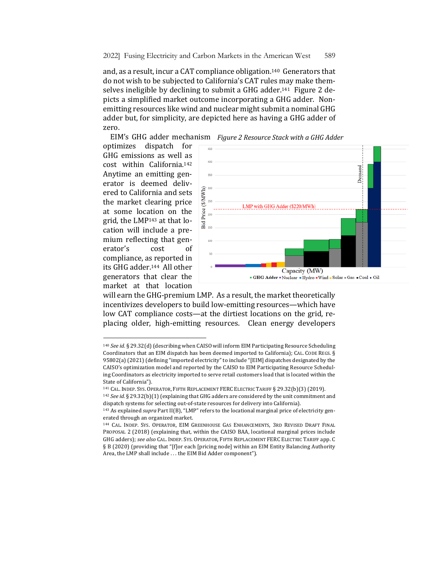and, as a result, incur a CAT compliance obligation.<sup>140</sup> Generators that do not wish to be subjected to California's CAT rules may make themselves ineligible by declining to submit a GHG adder.<sup>141</sup> Figure 2 depicts a simplified market outcome incorporating a GHG adder. Nonemitting resources like wind and nuclear might submit a nominal GHG adder but, for simplicity, are depicted here as having a GHG adder of zero.

EIM's GHG adder mechanism Figure 2 Resource Stack with a GHG Adder

optimizes dispatch for GHG emissions as well as cost within California.<sup>142</sup> Anytime an emitting generator is deemed delivered to California and sets the market clearing price at some location on the grid, the LMP $143$  at that location will include a premium reflecting that generator's cost of compliance, as reported in its GHG adder.<sup>144</sup> All other generators that clear the market at that location



will earn the GHG-premium LMP. As a result, the market theoretically incentivizes developers to build low-emitting resources—which have low CAT compliance costs—at the dirtiest locations on the grid, replacing older, high-emitting resources. Clean energy developers

<sup>140</sup> See id. § 29.32(d) (describing when CAISO will inform EIM Participating Resource Scheduling Coordinators that an EIM dispatch has been deemed imported to California); CAL. CODE REGS. § 95802(a) (2021) (defining "imported electricity" to include "[EIM] dispatches designated by the CAISO's optimization model and reported by the CAISO to EIM Participating Resource Scheduling Coordinators as electricity imported to serve retail customers load that is located within the State of California").

<sup>&</sup>lt;sup>141</sup> CAL. INDEP. SYS. OPERATOR, FIFTH REPLACEMENT FERC ELECTRIC TARIFF § 29.32(b)(3) (2019).

<sup>142</sup> See id. § 29.32(b)(1) (explaining that GHG adders are considered by the unit commitment and dispatch systems for selecting out-of-state resources for delivery into California).

<sup>&</sup>lt;sup>143</sup> As explained *supra* Part II(B), "LMP" refers to the locational marginal price of electricity generated through an organized market.

<sup>144</sup> CAL. INDEP. SYS. OPERATOR, EIM GREENHOUSE GAS ENHANCEMENTS, 3RD REVISED DRAFT FINAL PROPOSAL 2 (2018) (explaining that, within the CAISO BAA, locational marginal prices include GHG adders); see also CAL. INDEP. SYS. OPERATOR, FIFTH REPLACEMENT FERC ELECTRIC TARIFF app. C § B (2020) (providing that "[f]or each [pricing node] within an EIM Entity Balancing Authority Area, the LMP shall include ... the EIM Bid Adder component").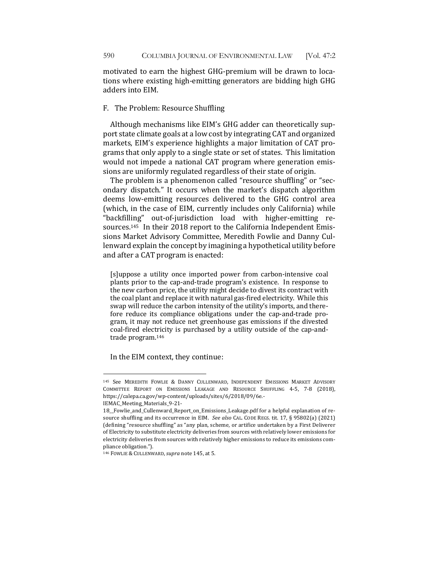motivated to earn the highest GHG-premium will be drawn to locations where existing high-emitting generators are bidding high GHG adders into EIM.

## F. The Problem: Resource Shuffling

Although mechanisms like EIM's GHG adder can theoretically support state climate goals at a low cost by integrating CAT and organized markets, EIM's experience highlights a major limitation of CAT programs that only apply to a single state or set of states. This limitation would not impede a national CAT program where generation emissions are uniformly regulated regardless of their state of origin.

The problem is a phenomenon called "resource shuffling" or "secondary dispatch." It occurs when the market's dispatch algorithm deems low-emitting resources delivered to the GHG control area (which, in the case of EIM, currently includes only California) while "backfilling" out-of-jurisdiction load with higher-emitting resources.<sup>145</sup> In their 2018 report to the California Independent Emissions Market Advisory Committee, Meredith Fowlie and Danny Cullenward explain the concept by imagining a hypothetical utility before and after a CAT program is enacted:

[s]uppose a utility once imported power from carbon-intensive coal plants prior to the cap-and-trade program's existence. In response to the new carbon price, the utility might decide to divest its contract with the coal plant and replace it with natural gas-fired electricity. While this swap will reduce the carbon intensity of the utility's imports, and therefore reduce its compliance obligations under the cap-and-trade program, it may not reduce net greenhouse gas emissions if the divested coal-fired electricity is purchased by a utility outside of the cap-andtrade program.<sup>146</sup>

In the EIM context, they continue:

<sup>145</sup> See MEREDITH FOWLIE & DANNY CULLENWARD, INDEPENDENT EMISSIONS MARKET ADVISORY COMMITTEE REPORT ON EMISSIONS LEAKAGE AND RESOURCE SHUFFLING 4-5, 7-8 (2018), https://calepa.ca.gov/wp-content/uploads/sites/6/2018/09/6e.-

IEMAC\_Meeting\_Materials\_9-21-

<sup>18</sup>\_Fowlie\_and\_Cullenward\_Report\_on\_Emissions\_Leakage.pdf for a helpful explanation of resource shuffling and its occurrence in EIM. See also CAL. CODE REGS. tit. 17, § 95802(a) (2021) (defining "resource shuffling" as "any plan, scheme, or artifice undertaken by a First Deliverer of Electricity to substitute electricity deliveries from sources with relatively lower emissions for electricity deliveries from sources with relatively higher emissions to reduce its emissions compliance obligation.").

<sup>&</sup>lt;sup>146</sup> FOWLIE & CULLENWARD, supra note 145, at 5.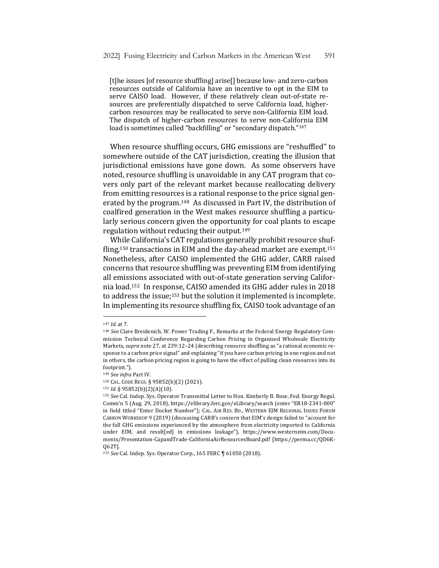[t]he issues [of resource shuffling] arise[] because low- and zero-carbon resources outside of California have an incentive to opt in the EIM to serve CAISO load. However, if these relatively clean out-of-state resources are preferentially dispatched to serve California load, highercarbon resources may be reallocated to serve non-California EIM load. The dispatch of higher-carbon resources to serve non-California EIM load is sometimes called "backfilling" or "secondary dispatch."<sup>147</sup>

When resource shuffling occurs, GHG emissions are "reshuffled" to somewhere outside of the CAT jurisdiction, creating the illusion that jurisdictional emissions have gone down. As some observers have noted, resource shuffling is unavoidable in any CAT program that covers only part of the relevant market because reallocating delivery from emitting resources is a rational response to the price signal generated by the program.<sup>148</sup> As discussed in Part IV, the distribution of coalfired generation in the West makes resource shuffling a particularly serious concern given the opportunity for coal plants to escape regulation without reducing their output.<sup>149</sup>

While California's CAT regulations generally prohibit resource shuffling,<sup>150</sup> transactions in EIM and the day-ahead market are exempt.<sup>151</sup> Nonetheless, after CAISO implemented the GHG adder, CARB raised concerns that resource shuffling was preventing EIM from identifying all emissions associated with out-of-state generation serving California load.<sup>152</sup> In response, CAISO amended its GHG adder rules in 2018 to address the issue;<sup>153</sup> but the solution it implemented is incomplete. In implementing its resource shuffling fix, CAISO took advantage of an

<sup>147</sup> *Id.* at 7.

<sup>&</sup>lt;sup>148</sup> See Clare Breidenich, W. Power Trading F., Remarks at the Federal Energy Regulatory Commission Technical Conference Regarding Carbon Pricing in Organized Wholesale Electricity Markets, *supra* note 27, at 239:12-24 (describing resource shuffling as "a rational economic response to a carbon price signal" and explaining "if you have carbon pricing in one region and not in others, the carbon pricing region is going to have the effect of pulling clean resources into its footprint.").

<sup>149</sup> See infra Part IV.

<sup>150</sup> CAL. CODE REGS. § 95852(b)(2) (2021).

<sup>151</sup> *Id*. § 95852(b)(2)(A)(10).

<sup>152</sup> *See* Cal. Indep. Sys. Operator Transmittal Letter to Hon. Kimberly B. Bose, Fed. Energy Regul. Comm'n 5 (Aug. 29, 2018), https://elibrary.ferc.gov/eLibrary/search (enter "ER18-2341-000" in field titled "Enter Docket Number"); CAL. AIR RES. BD., WESTERN EIM REGIONAL ISSUES FORUM CARBON WORKSHOP 9 (2019) (discussing CARB's concern that EIM's design failed to "account for the full GHG emissions experienced by the atmosphere from electricity imported to California under EIM, and result[ed] in emissions leakage"), https://www.westerneim.com/Documents/Presentation-CapandTrade-CaliforniaAirResourcesBoard.pdf [https://perma.cc/QD6K-Q62T]. 

<sup>153</sup> *See* Cal. Indep. Sys. Operator Corp., 165 FERC ¶ 61050 (2018).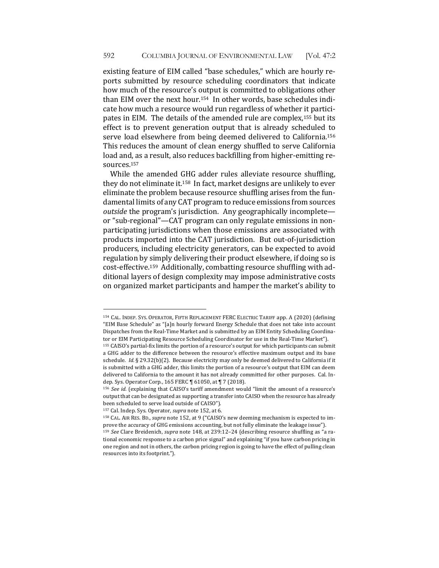existing feature of EIM called "base schedules," which are hourly reports submitted by resource scheduling coordinators that indicate how much of the resource's output is committed to obligations other than EIM over the next hour.<sup>154</sup> In other words, base schedules indicate how much a resource would run regardless of whether it participates in EIM. The details of the amended rule are complex,<sup>155</sup> but its effect is to prevent generation output that is already scheduled to serve load elsewhere from being deemed delivered to California.<sup>156</sup> This reduces the amount of clean energy shuffled to serve California load and, as a result, also reduces backfilling from higher-emitting resources. 157

While the amended GHG adder rules alleviate resource shuffling, they do not eliminate it.<sup>158</sup> In fact, market designs are unlikely to ever eliminate the problem because resource shuffling arises from the fundamental limits of any CAT program to reduce emissions from sources *outside* the program's jurisdiction. Any geographically incomplete or "sub-regional"—CAT program can only regulate emissions in nonparticipating jurisdictions when those emissions are associated with products imported into the CAT jurisdiction. But out-of-jurisdiction producers, including electricity generators, can be expected to avoid regulation by simply delivering their product elsewhere, if doing so is cost-effective.<sup>159</sup> Additionally, combatting resource shuffling with additional layers of design complexity may impose administrative costs on organized market participants and hamper the market's ability to

<sup>154</sup> CAL. INDEP. SYS. OPERATOR, FIFTH REPLACEMENT FERC ELECTRIC TARIFF app. A (2020) (defining "EIM Base Schedule" as "[a]n hourly forward Energy Schedule that does not take into account Dispatches from the Real-Time Market and is submitted by an EIM Entity Scheduling Coordinator or EIM Participating Resource Scheduling Coordinator for use in the Real-Time Market").

<sup>155</sup> CAISO's partial-fix limits the portion of a resource's output for which participants can submit a GHG adder to the difference between the resource's effective maximum output and its base schedule. *Id.* § 29.32(b)(2). Because electricity may only be deemed delivered to California if it is submitted with a GHG adder, this limits the portion of a resource's output that EIM can deem delivered to California to the amount it has not already committed for other purposes. Cal. Indep. Sys. Operator Corp., 165 FERC ¶ 61050, at ¶ 7 (2018).

<sup>156</sup> See id. (explaining that CAISO's tariff amendment would "limit the amount of a resource's output that can be designated as supporting a transfer into CAISO when the resource has already been scheduled to serve load outside of CAISO").

<sup>157</sup> Cal. Indep. Sys. Operator, *supra* note 152, at 6.

<sup>&</sup>lt;sup>158</sup> CAL. AIR RES. BD., *supra* note 152, at 9 ("CAISO's new deeming mechanism is expected to improve the accuracy of GHG emissions accounting, but not fully eliminate the leakage issue").

<sup>159</sup> *See* Clare Breidenich, *supra* note 148, at 239:12-24 (describing resource shuffling as "a rational economic response to a carbon price signal" and explaining "if you have carbon pricing in one region and not in others, the carbon pricing region is going to have the effect of pulling clean resources into its footprint.").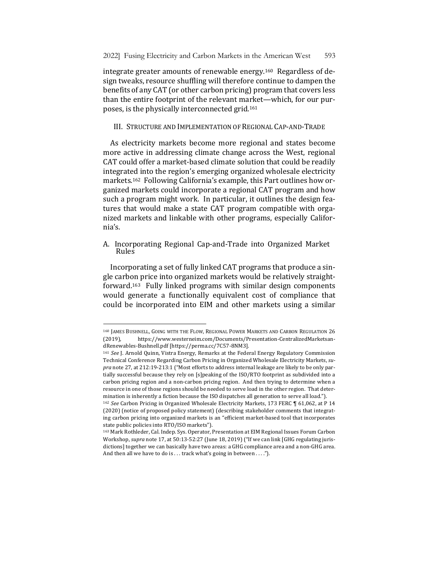integrate greater amounts of renewable energy.<sup>160</sup> Regardless of design tweaks, resource shuffling will therefore continue to dampen the benefits of any CAT (or other carbon pricing) program that covers less than the entire footprint of the relevant market—which, for our purposes, is the physically interconnected grid.<sup>161</sup>

## III. STRUCTURE AND IMPLEMENTATION OF REGIONAL CAP-AND-TRADE

As electricity markets become more regional and states become more active in addressing climate change across the West, regional CAT could offer a market-based climate solution that could be readily integrated into the region's emerging organized wholesale electricity markets.<sup>162</sup> Following California's example, this Part outlines how organized markets could incorporate a regional CAT program and how such a program might work. In particular, it outlines the design features that would make a state CAT program compatible with organized markets and linkable with other programs, especially California's.

A. Incorporating Regional Cap-and-Trade into Organized Market Rules

Incorporating a set of fully linked CAT programs that produce a single carbon price into organized markets would be relatively straightforward.<sup>163</sup> Fully linked programs with similar design components would generate a functionally equivalent cost of compliance that could be incorporated into EIM and other markets using a similar

<sup>160</sup> JAMES BUSHNELL, GOING WITH THE FLOW, REGIONAL POWER MARKETS AND CARBON REGULATION 26 (2019), https://www.westerneim.com/Documents/Presentation-CentralizedMarketsandRenewables-Bushnell.pdf [https://perma.cc/7C57-8NM3].

<sup>&</sup>lt;sup>161</sup> See J. Arnold Quinn, Vistra Energy, Remarks at the Federal Energy Regulatory Commission Technical Conference Regarding Carbon Pricing in Organized Wholesale Electricity Markets, supra note 27, at 212:19-213:1 ("Most efforts to address internal leakage are likely to be only partially successful because they rely on [s]peaking of the ISO/RTO footprint as subdivided into a carbon pricing region and a non-carbon pricing region. And then trying to determine when a resource in one of those regions should be needed to serve load in the other region. That determination is inherently a fiction because the ISO dispatches all generation to serve all load.").

<sup>&</sup>lt;sup>162</sup> See Carbon Pricing in Organized Wholesale Electricity Markets, 173 FERC ¶ 61,062, at P 14 (2020) (notice of proposed policy statement) (describing stakeholder comments that integrating carbon pricing into organized markets is an "efficient market-based tool that incorporates state public policies into RTO/ISO markets").

<sup>163</sup> Mark Rothleder, Cal. Indep. Sys. Operator, Presentation at EIM Regional Issues Forum Carbon Workshop, *supra* note 17, at 50:13-52:27 (June 18, 2019) ("If we can link [GHG regulating jurisdictions] together we can basically have two areas: a GHG compliance area and a non-GHG area. And then all we have to do is ... track what's going in between  $\dots$ ").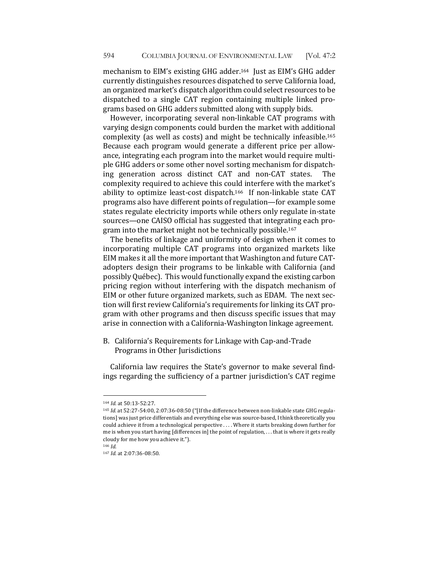mechanism to EIM's existing GHG adder.<sup>164</sup> Just as EIM's GHG adder currently distinguishes resources dispatched to serve California load, an organized market's dispatch algorithm could select resources to be dispatched to a single CAT region containing multiple linked programs based on GHG adders submitted along with supply bids.

However, incorporating several non-linkable CAT programs with varying design components could burden the market with additional complexity (as well as costs) and might be technically infeasible.<sup>165</sup> Because each program would generate a different price per allowance, integrating each program into the market would require multiple GHG adders or some other novel sorting mechanism for dispatching generation across distinct CAT and non-CAT states. The complexity required to achieve this could interfere with the market's ability to optimize least-cost dispatch.<sup>166</sup> If non-linkable state CAT programs also have different points of regulation—for example some states regulate electricity imports while others only regulate in-state sources—one CAISO official has suggested that integrating each program into the market might not be technically possible.<sup>167</sup>

The benefits of linkage and uniformity of design when it comes to incorporating multiple CAT programs into organized markets like EIM makes it all the more important that Washington and future CATadopters design their programs to be linkable with California (and possibly Québec). This would functionally expand the existing carbon pricing region without interfering with the dispatch mechanism of EIM or other future organized markets, such as EDAM. The next section will first review California's requirements for linking its CAT program with other programs and then discuss specific issues that may arise in connection with a California-Washington linkage agreement.

B. California's Requirements for Linkage with Cap-and-Trade Programs in Other Jurisdictions

California law requires the State's governor to make several findings regarding the sufficiency of a partner jurisdiction's CAT regime

<sup>164</sup> *Id.* at 50:13-52:27.

<sup>&</sup>lt;sup>165</sup> *Id.* at 52:27-54:00, 2:07:36-08:50 ("[If the difference between non-linkable state GHG regulations] was just price differentials and everything else was source-based, I think theoretically you could achieve it from a technological perspective .... Where it starts breaking down further for me is when you start having [differences in] the point of regulation, ... that is where it gets really cloudy for me how you achieve it.").

<sup>166</sup> *Id.*

<sup>167</sup> *Id.* at 2:07:36-08:50.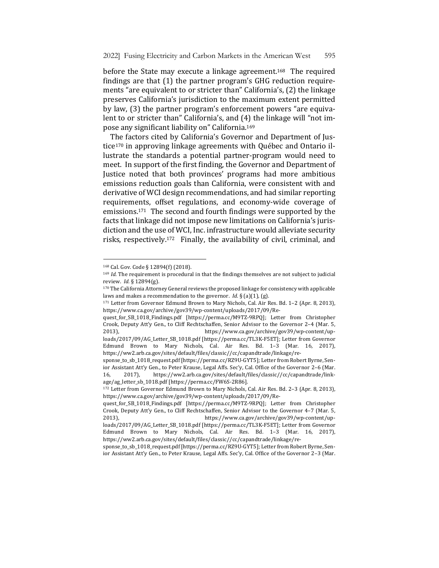before the State may execute a linkage agreement.<sup>168</sup> The required findings are that  $(1)$  the partner program's GHG reduction requirements "are equivalent to or stricter than" California's, (2) the linkage preserves California's jurisdiction to the maximum extent permitted by law, (3) the partner program's enforcement powers "are equivalent to or stricter than" California's, and (4) the linkage will "not impose any significant liability on" California.<sup>169</sup>

The factors cited by California's Governor and Department of Justice<sup>170</sup> in approving linkage agreements with Québec and Ontario illustrate the standards a potential partner-program would need to meet. In support of the first finding, the Governor and Department of Justice noted that both provinces' programs had more ambitious emissions reduction goals than California, were consistent with and derivative of WCI design recommendations, and had similar reporting requirements, offset regulations, and economy-wide coverage of emissions.<sup>171</sup> The second and fourth findings were supported by the facts that linkage did not impose new limitations on California's jurisdiction and the use of WCI, Inc. infrastructure would alleviate security risks, respectively.<sup>172</sup> Finally, the availability of civil, criminal, and

<sup>168</sup> Cal. Gov. Code § 12894(f) (2018).

 $169$  *Id*. The requirement is procedural in that the findings themselves are not subject to judicial review. *Id.* § 12894(g).

<sup>170</sup> The California Attorney General reviews the proposed linkage for consistency with applicable laws and makes a recommendation to the governor. *Id*. § (a)(1), (g).

<sup>171</sup> Letter from Governor Edmund Brown to Mary Nichols, Cal. Air Res. Bd. 1-2 (Apr. 8, 2013), https://www.ca.gov/archive/gov39/wp-content/uploads/2017/09/Re-

quest\_for\_SB\_1018\_Findings.pdf [https://perma.cc/M9TZ-9RPQ]; Letter from Christopher Crook, Deputy Att'y Gen., to Cliff Rechtschaffen, Senior Advisor to the Governor 2-4 (Mar. 5, 2013), https://www.ca.gov/archive/gov39/wp-content/uploads/2017/09/AG\_Letter\_SB\_1018.pdf [https://perma.cc/TL3K-F5ET]; Letter from Governor

Edmund Brown to Mary Nichols, Cal. Air Res. Bd. 1-3 (Mar. 16, 2017), https://ww2.arb.ca.gov/sites/default/files/classic//cc/capandtrade/linkage/re-

sponse\_to\_sb\_1018\_request.pdf [https://perma.cc/RZ9U-GYT5]; Letter from Robert Byrne, Senior Assistant Att'y Gen., to Peter Krause, Legal Affs. Sec'y, Cal. Office of the Governor 2-6 (Mar. 16, 2017), https://ww2.arb.ca.gov/sites/default/files/classic//cc/capandtrade/linkage/ag\_letter\_sb\_1018.pdf [https://perma.cc/FW6S-2R86].

<sup>172</sup> Letter from Governor Edmund Brown to Mary Nichols, Cal. Air Res. Bd. 2-3 (Apr. 8, 2013), https://www.ca.gov/archive/gov39/wp-content/uploads/2017/09/Re-

quest\_for\_SB\_1018\_Findings.pdf [https://perma.cc/M9TZ-9RPQ]; Letter from Christopher Crook, Deputy Att'y Gen., to Cliff Rechtschaffen, Senior Advisor to the Governor 4-7 (Mar. 5, 2013), https://www.ca.gov/archive/gov39/wp-content/uploads/2017/09/AG\_Letter\_SB\_1018.pdf [https://perma.cc/TL3K-F5ET]; Letter from Governor

Edmund Brown to Mary Nichols, Cal. Air Res. Bd. 1-3 (Mar. 16, 2017), https://ww2.arb.ca.gov/sites/default/files/classic//cc/capandtrade/linkage/re-

sponse\_to\_sb\_1018\_request.pdf [https://perma.cc/RZ9U-GYT5]; Letter from Robert Byrne, Senior Assistant Att'y Gen., to Peter Krause, Legal Affs. Sec'y, Cal. Office of the Governor 2-3 (Mar.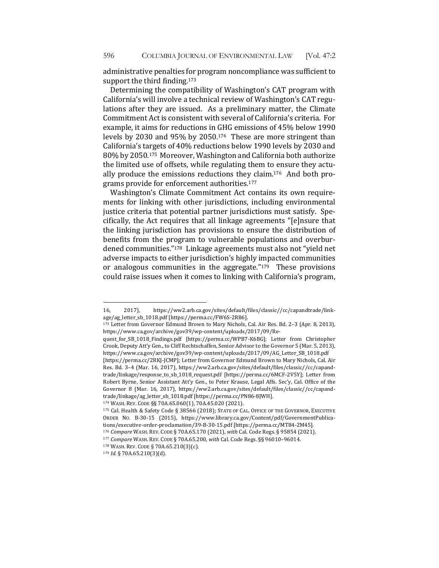administrative penalties for program noncompliance was sufficient to support the third finding. $173$ 

Determining the compatibility of Washington's CAT program with California's will involve a technical review of Washington's CAT regulations after they are issued. As a preliminary matter, the Climate Commitment Act is consistent with several of California's criteria. For example, it aims for reductions in GHG emissions of 45% below 1990 levels by 2030 and 95% by 2050.<sup>174</sup> These are more stringent than California's targets of 40% reductions below 1990 levels by 2030 and 80% by 2050.<sup>175</sup> Moreover, Washington and California both authorize the limited use of offsets, while regulating them to ensure they actually produce the emissions reductions they claim.<sup>176</sup> And both programs provide for enforcement authorities.<sup>177</sup>

Washington's Climate Commitment Act contains its own requirements for linking with other jurisdictions, including environmental justice criteria that potential partner jurisdictions must satisfy. Specifically, the Act requires that all linkage agreements "[e]nsure that the linking jurisdiction has provisions to ensure the distribution of benefits from the program to vulnerable populations and overburdened communities."<sup>178</sup> Linkage agreements must also not "yield net adverse impacts to either jurisdiction's highly impacted communities or analogous communities in the aggregate." $179$  These provisions could raise issues when it comes to linking with California's program,

<sup>16, 2017),</sup> https://ww2.arb.ca.gov/sites/default/files/classic//cc/capandtrade/linkage/ag\_letter\_sb\_1018.pdf [https://perma.cc/FW6S-2R86].

<sup>173</sup> Letter from Governor Edmund Brown to Mary Nichols, Cal. Air Res. Bd. 2-3 (Apr. 8, 2013), https://www.ca.gov/archive/gov39/wp-content/uploads/2017/09/Re-

quest\_for\_SB\_1018\_Findings.pdf [https://perma.cc/WPB7-K6BG]; Letter from Christopher Crook, Deputy Att'y Gen., to Cliff Rechtschaffen, Senior Advisor to the Governor 5 (Mar. 5, 2013), https://www.ca.gov/archive/gov39/wp-content/uploads/2017/09/AG\_Letter\_SB\_1018.pdf 

<sup>[</sup>https://perma.cc/2RKJ-JCMP]; Letter from Governor Edmund Brown to Mary Nichols, Cal. Air Res. Bd. 3-4 (Mar. 16, 2017), https://ww2.arb.ca.gov/sites/default/files/classic//cc/capandtrade/linkage/response\_to\_sb\_1018\_request.pdf [https://perma.cc/6MCF-2V5Y]; Letter from Robert Byrne, Senior Assistant Att'y Gen., to Peter Krause, Legal Affs. Sec'y, Cal. Office of the Governor 8 (Mar. 16, 2017), https://ww2.arb.ca.gov/sites/default/files/classic//cc/capandtrade/linkage/ag\_letter\_sb\_1018.pdf [https://perma.cc/PN86-8JWH].

<sup>174</sup> WASH. REV. CODE §§ 70A.65.060(1), 70A.45.020 (2021).

<sup>175</sup> Cal. Health & Safety Code § 38566 (2018); STATE OF CAL. OFFICE OF THE GOVERNOR, EXECUTIVE ORDER NO. B-30-15 (2015), https://www.library.ca.gov/Content/pdf/GovernmentPublications/executive-order-proclamation/39-B-30-15.pdf [https://perma.cc/MT84-2M45]. 

<sup>176</sup> *Compare* WASH. REV. CODE § 70A.65.170 (2021), with Cal. Code Regs. § 95854 (2021).

<sup>177</sup> *Compare* WASH. REV. CODE § 70A.65.200, *with* Cal. Code Regs. §§ 96010-96014. 178 WASH. REV. CODE § 70A.65.210(3)(c).

<sup>179</sup> *Id.* § 70A.65.210(3)(d).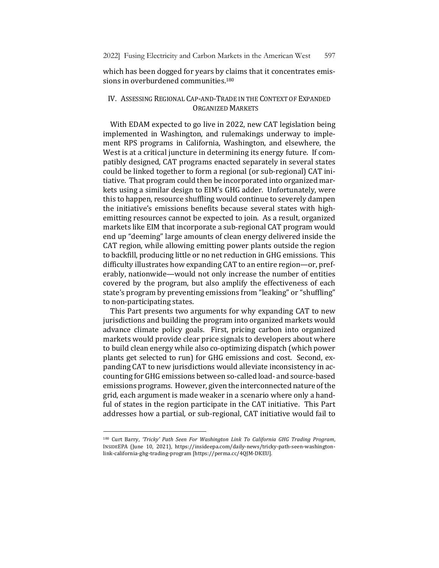which has been dogged for years by claims that it concentrates emissions in overburdened communities.<sup>180</sup>

# IV. ASSESSING REGIONAL CAP-AND-TRADE IN THE CONTEXT OF EXPANDED ORGANIZED MARKETS

With EDAM expected to go live in 2022, new CAT legislation being implemented in Washington, and rulemakings underway to implement RPS programs in California, Washington, and elsewhere, the West is at a critical juncture in determining its energy future. If compatibly designed, CAT programs enacted separately in several states could be linked together to form a regional (or sub-regional) CAT initiative. That program could then be incorporated into organized markets using a similar design to EIM's GHG adder. Unfortunately, were this to happen, resource shuffling would continue to severely dampen the initiative's emissions benefits because several states with highemitting resources cannot be expected to join. As a result, organized markets like EIM that incorporate a sub-regional CAT program would end up "deeming" large amounts of clean energy delivered inside the CAT region, while allowing emitting power plants outside the region to backfill, producing little or no net reduction in GHG emissions. This difficulty illustrates how expanding CAT to an entire region—or, preferably, nationwide—would not only increase the number of entities covered by the program, but also amplify the effectiveness of each state's program by preventing emissions from "leaking" or "shuffling" to non-participating states.

This Part presents two arguments for why expanding CAT to new jurisdictions and building the program into organized markets would advance climate policy goals. First, pricing carbon into organized markets would provide clear price signals to developers about where to build clean energy while also co-optimizing dispatch (which power plants get selected to run) for GHG emissions and cost. Second, expanding CAT to new jurisdictions would alleviate inconsistency in accounting for GHG emissions between so-called load- and source-based emissions programs. However, given the interconnected nature of the grid, each argument is made weaker in a scenario where only a handful of states in the region participate in the CAT initiative. This Part addresses how a partial, or sub-regional, CAT initiative would fail to

<sup>&</sup>lt;sup>180</sup> Curt Barry, 'Tricky' Path Seen For Washington Link To California GHG Trading Program, INSIDEEPA (June 10, 2021), https://insideepa.com/daily-news/tricky-path-seen-washingtonlink-california-ghg-trading-program [https://perma.cc/4QJM-DKEU].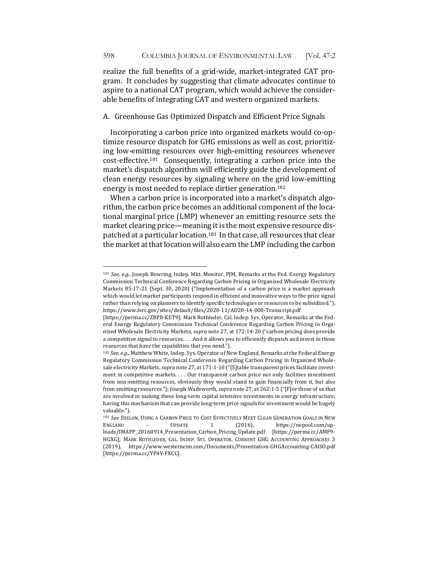realize the full benefits of a grid-wide, market-integrated CAT program. It concludes by suggesting that climate advocates continue to aspire to a national CAT program, which would achieve the considerable benefits of integrating CAT and western organized markets.

#### A. Greenhouse Gas Optimized Dispatch and Efficient Price Signals

Incorporating a carbon price into organized markets would co-optimize resource dispatch for GHG emissions as well as cost, prioritizing low-emitting resources over high-emitting resources whenever  $cost\text{-}effective\text{-}181$  Consequently, integrating a carbon price into the market's dispatch algorithm will efficiently guide the development of clean energy resources by signaling where on the grid low-emitting energy is most needed to replace dirtier generation.<sup>182</sup>

When a carbon price is incorporated into a market's dispatch algorithm, the carbon price becomes an additional component of the locational marginal price (LMP) whenever an emitting resource sets the market clearing price—meaning it is the most expensive resource dispatched at a particular location.<sup>183</sup> In that case, all resources that clear the market at that location will also earn the LMP including the carbon

<sup>181</sup> See, e.g., Joseph Bowring, Indep. Mkt. Monitor, PJM, Remarks at the Fed. Energy Regulatory Commission Technical Conference Regarding Carbon Pricing in Organized Wholesale Electricity Markets 85:17-21 (Sept. 30, 2020) ("Implementation of a carbon price is a market approach which would let market participants respond in efficient and innovative ways to the price signal rather than relying on planners to identify specific technologies or resources to be subsidized."), https://www.ferc.gov/sites/default/files/2020-11/AD20-14-000-Transcript.pdf

<sup>[</sup>https://perma.cc/ZBP8-KET9]; Mark Rothleder, Cal. Indep. Sys. Operator, Remarks at the Federal Energy Regulatory Commission Technical Conference Regarding Carbon Pricing in Organized Wholesale Electricity Markets, *supra* note 27, at 172:14-20 ("carbon pricing does provide a competitive signal to resources.... And it allows you to efficiently dispatch and invest in those resources that have the capabilities that you need.").

<sup>182</sup> See, e.g., Matthew White, Indep. Sys. Operator of New England, Remarks at the Federal Energy Regulatory Commission Technical Conference Regarding Carbon Pricing in Organized Wholesale electricity Markets, *supra* note 27, at 171:1-10 ("[S]table transparent prices facilitate investment in competitive markets. . . . Our transparent carbon price not only facilities investment from non-emitting resources, obviously they would stand to gain financially from it, but also from emitting resources."); Joseph Wadsworth, *supra* note 27, at 262:1-5 ("[F]or those of us that are involved in making these long-term capital intensive investments in energy infrastructure, having this mechanism that can provide long-term price signals for investment would be hugely valuable.").

<sup>183</sup> See EXELON, USING A CARBON PRICE TO COST EFFECTIVELY MEET CLEAN GENERATION GOALS IN NEW ENGLAND - UPDATE 1 (2016), https://nepool.com/uploads/IMAPP\_20160914\_Presentation\_Carbon\_Pricing\_Update.pdf [https://perma.cc/AMF9- HGXG]; MARK ROTHLEDER, CAL. INDEP. SYS. OPERATOR, CURRENT GHG ACCOUNTING APPROACHES 3 (2019), https://www.westerneim.com/Documents/Presentation-GHGAccounting-CAISO.pdf [https://perma.cc/YP4Y-FXCC].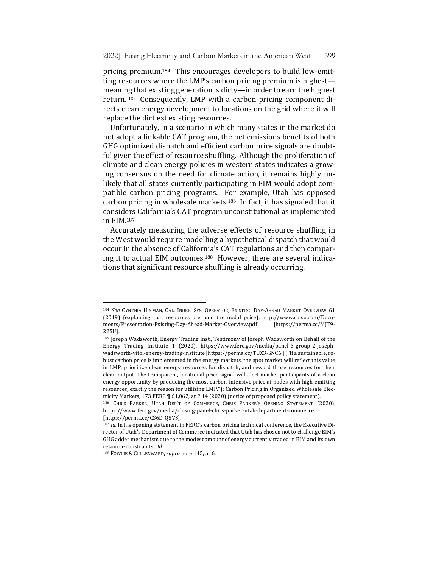pricing premium.<sup>184</sup> This encourages developers to build low-emitting resources where the LMP's carbon pricing premium is highest meaning that existing generation is dirty—in order to earn the highest return.<sup>185</sup> Consequently, LMP with a carbon pricing component directs clean energy development to locations on the grid where it will replace the dirtiest existing resources.

Unfortunately, in a scenario in which many states in the market do not adopt a linkable CAT program, the net emissions benefits of both GHG optimized dispatch and efficient carbon price signals are doubtful given the effect of resource shuffling. Although the proliferation of climate and clean energy policies in western states indicates a growing consensus on the need for climate action, it remains highly unlikely that all states currently participating in EIM would adopt compatible carbon pricing programs. For example, Utah has opposed carbon pricing in wholesale markets.<sup>186</sup> In fact, it has signaled that it considers California's CAT program unconstitutional as implemented in EIM.187

Accurately measuring the adverse effects of resource shuffling in the West would require modelling a hypothetical dispatch that would occur in the absence of California's CAT regulations and then comparing it to actual EIM outcomes.<sup>188</sup> However, there are several indications that significant resource shuffling is already occurring.

<sup>&</sup>lt;sup>184</sup> See CYNTHIA HINMAN, CAL. INDEP. SYS. OPERATOR, EXISTING DAY-AHEAD MARKET OVERVIEW 61  $(2019)$  (explaining that resources are paid the nodal price), http://www.caiso.com/Documents/Presentation-Existing-Day-Ahead-Market-Overview.pdf [https://perma.cc/MJT9- 225U].

<sup>185</sup> Joseph Wadsworth, Energy Trading Inst., Testimony of Joseph Wadsworth on Behalf of the Energy Trading Institute 1 (2020), https://www.ferc.gov/media/panel-3-group-2-josephwadsworth-vitol-energy-trading-institute [https://perma.cc/TUX3-SNC6] ("If a sustainable, robust carbon price is implemented in the energy markets, the spot market will reflect this value in LMP, prioritize clean energy resources for dispatch, and reward those resources for their clean output. The transparent, locational price signal will alert market participants of a clean energy opportunity by producing the most carbon-intensive price at nodes with high-emitting resources, exactly the reason for utilizing LMP."); Carbon Pricing in Organized Wholesale Electricity Markets, 173 FERC  $\P$  61,062, at P 14 (2020) (notice of proposed policy statement).

<sup>186</sup> CHRIS PARKER, UTAH DEP'T OF COMMERCE, CHRIS PARKER'S OPENING STATEMENT (2020), https://www.ferc.gov/media/closing-panel-chris-parker-utah-department-commerce [https://perma.cc/CS6D-Q5VS]. 

<sup>187</sup> *Id.* In his opening statement in FERC's carbon pricing technical conference, the Executive Director of Utah's Department of Commerce indicated that Utah has chosen not to challenge EIM's GHG adder mechanism due to the modest amount of energy currently traded in EIM and its own resource constraints. *Id.* 

<sup>188</sup> FOWLIE & CULLENWARD, *supra* note 145, at 6.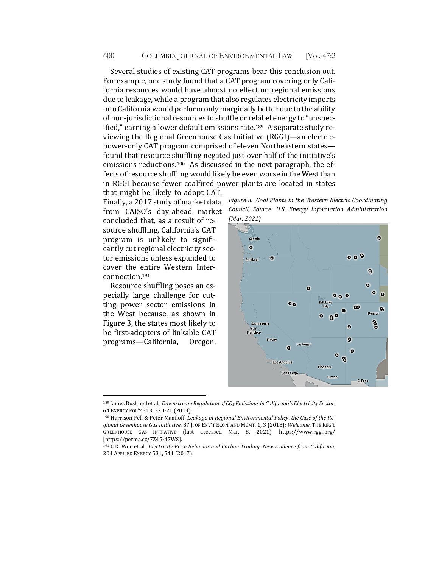Several studies of existing CAT programs bear this conclusion out. For example, one study found that a CAT program covering only California resources would have almost no effect on regional emissions due to leakage, while a program that also regulates electricity imports into California would perform only marginally better due to the ability of non-jurisdictional resources to shuffle or relabel energy to "unspecified," earning a lower default emissions rate.<sup>189</sup> A separate study reviewing the Regional Greenhouse Gas Initiative (RGGI)—an electricpower-only CAT program comprised of eleven Northeastern states found that resource shuffling negated just over half of the initiative's emissions reductions.<sup>190</sup> As discussed in the next paragraph, the effects of resource shuffling would likely be even worse in the West than in RGGI because fewer coalfired power plants are located in states

that might be likely to adopt CAT. Finally, a 2017 study of market data from CAISO's day-ahead market concluded that, as a result of resource shuffling, California's CAT program is unlikely to significantly cut regional electricity sector emissions unless expanded to cover the entire Western Interconnection.191

Resource shuffling poses an especially large challenge for cutting power sector emissions in the West because, as shown in Figure 3, the states most likely to be first-adopters of linkable CAT programs—California, Oregon,  Figure 3. Coal Plants in the Western Electric Coordinating *Council, Source: U.S. Energy Information Administration (Mar. 2021)*



<sup>189</sup> James Bushnell et al., *Downstream Regulation of CO<sub>2</sub> Emissions in California's Electricity Sector*, 64 ENERGY POL'Y 313, 320-21 (2014).

<sup>&</sup>lt;sup>190</sup> Harrison Fell & Peter Maniloff, *Leakage in Regional Environmental Policy, the Case of the Regional Greenhouse Gas Initiative*, 87 J. OF ENV'T ECON. AND MGMT. 1, 3 (2018); *Welcome*, THE REG'L GREENHOUSE GAS INITIATIVE (last accessed Mar. 8, 2021), https://www.rggi.org/ [https://perma.cc/7Z45-47WS]. 

<sup>191</sup> C.K. Woo et al., *Electricity Price Behavior and Carbon Trading: New Evidence from California*, 204 APPLIED ENERGY 531, 541 (2017).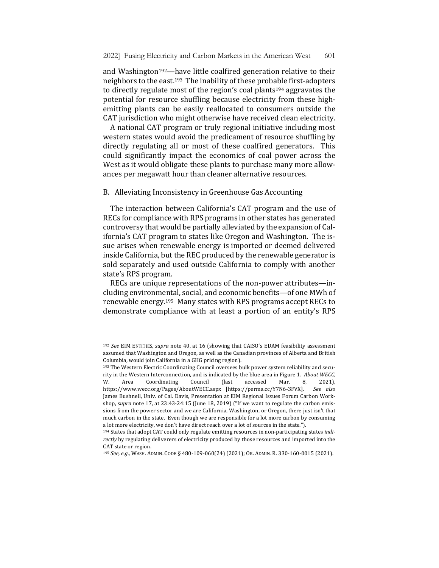and Washington<sup>192</sup>—have little coalfired generation relative to their neighbors to the east.<sup>193</sup> The inability of these probable first-adopters to directly regulate most of the region's coal plants<sup>194</sup> aggravates the potential for resource shuffling because electricity from these highemitting plants can be easily reallocated to consumers outside the CAT jurisdiction who might otherwise have received clean electricity.

A national CAT program or truly regional initiative including most western states would avoid the predicament of resource shuffling by directly regulating all or most of these coalfired generators. This could significantly impact the economics of coal power across the West as it would obligate these plants to purchase many more allowances per megawatt hour than cleaner alternative resources.

#### B. Alleviating Inconsistency in Greenhouse Gas Accounting

The interaction between California's CAT program and the use of RECs for compliance with RPS programs in other states has generated controversy that would be partially alleviated by the expansion of California's CAT program to states like Oregon and Washington. The issue arises when renewable energy is imported or deemed delivered inside California, but the REC produced by the renewable generator is sold separately and used outside California to comply with another state's RPS program.

RECs are unique representations of the non-power attributes-including environmental, social, and economic benefits—of one MWh of renewable energy.<sup>195</sup> Many states with RPS programs accept RECs to demonstrate compliance with at least a portion of an entity's RPS

<sup>&</sup>lt;sup>192</sup> See EIM ENTITIES, supra note 40, at 16 (showing that CAISO's EDAM feasibility assessment assumed that Washington and Oregon, as well as the Canadian provinces of Alberta and British Columbia, would join California in a GHG pricing region).

<sup>193</sup> The Western Electric Coordinating Council oversees bulk power system reliability and security in the Western Interconnection, and is indicated by the blue area in Figure 1. About WECC, W. Area Coordinating Council (last accessed Mar. 8, 2021), https://www.wecc.org/Pages/AboutWECC.aspx [https://perma.cc/Y7N6-3FVX]. *See also*  James Bushnell, Univ. of Cal. Davis, Presentation at EIM Regional Issues Forum Carbon Workshop, *supra* note 17, at 23:43-24:15 (June 18, 2019) ("If we want to regulate the carbon emissions from the power sector and we are California, Washington, or Oregon, there just isn't that much carbon in the state. Even though we are responsible for a lot more carbon by consuming a lot more electricity, we don't have direct reach over a lot of sources in the state.").

<sup>&</sup>lt;sup>194</sup> States that adopt CAT could only regulate emitting resources in non-participating states indirectly by regulating deliverers of electricity produced by those resources and imported into the CAT state or region.

<sup>195</sup> See, e.g., WASH. ADMIN. CODE § 480-109-060(24) (2021); OR. ADMIN. R. 330-160-0015 (2021).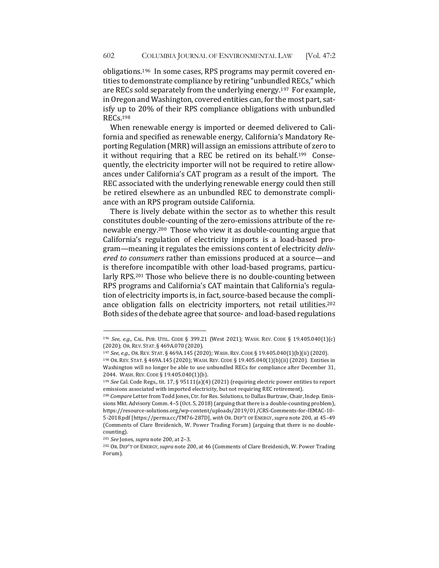obligations.<sup>196</sup> In some cases, RPS programs may permit covered entities to demonstrate compliance by retiring "unbundled RECs," which are RECs sold separately from the underlying energy.<sup>197</sup> For example, in Oregon and Washington, covered entities can, for the most part, satisfy up to 20% of their RPS compliance obligations with unbundled RECs. 198

When renewable energy is imported or deemed delivered to California and specified as renewable energy, California's Mandatory Reporting Regulation (MRR) will assign an emissions attribute of zero to it without requiring that a REC be retired on its behalf.<sup>199</sup> Consequently, the electricity importer will not be required to retire allowances under California's CAT program as a result of the import. The REC associated with the underlying renewable energy could then still be retired elsewhere as an unbundled REC to demonstrate compliance with an RPS program outside California.

There is lively debate within the sector as to whether this result constitutes double-counting of the zero-emissions attribute of the renewable energy.<sup>200</sup> Those who view it as double-counting argue that California's regulation of electricity imports is a load-based program-meaning it regulates the emissions content of electricity *deliv*ered to consumers rather than emissions produced at a source—and is therefore incompatible with other load-based programs, particularly RPS.<sup>201</sup> Those who believe there is no double-counting between RPS programs and California's CAT maintain that California's regulation of electricity imports is, in fact, source-based because the compliance obligation falls on electricity importers, not retail utilities.<sup>202</sup> Both sides of the debate agree that source- and load-based regulations

<sup>196</sup> *See, e.g.,* CAL. PUB. UTIL. CODE § 399.21 (West 2021); WASH. REV. CODE § 19.405.040(1)(c) (2020); OR. REV. STAT. § 469A.070 (2020).

<sup>197</sup> *See, e.g.,* OR. REV. STAT. § 469A.145 (2020); WASH. REV. CODE § 19.405.040(1)(b)(ii) (2020).

<sup>198</sup> OR. REV. STAT. § 469A.145 (2020); WASH. REV. CODE § 19.405.040(1)(b)(ii) (2020). Entities in Washington will no longer be able to use unbundled RECs for compliance after December 31, 2044. WASH. REV. CODE § 19.405.040(1)(b).

<sup>&</sup>lt;sup>199</sup> See Cal. Code Regs., tit. 17, § 95111(a)(4) (2021) (requiring electric power entities to report emissions associated with imported electricity, but not requiring REC retirement).

<sup>&</sup>lt;sup>200</sup> Compare Letter from Todd Jones, Ctr. for Res. Solutions, to Dallas Burtraw, Chair, Indep. Emissions Mkt. Advisory Comm. 4-5 (Oct. 5, 2018) (arguing that there is a double-counting problem), https://resource-solutions.org/wp-content/uploads/2019/01/CRS-Comments-for-IEMAC-10- 5-2018.pdf [https://perma.cc/TM76-287D], with OR. DEP'T OF ENERGY, *supra* note 200, at 45-49 (Comments of Clare Breidenich, W. Power Trading Forum) (arguing that there is no doublecounting).

<sup>&</sup>lt;sup>201</sup> *See* Jones, *supra* note 200, at 2-3.

<sup>&</sup>lt;sup>202</sup> OR. DEP'T OF ENERGY, *supra* note 200, at 46 (Comments of Clare Breidenich, W. Power Trading Forum).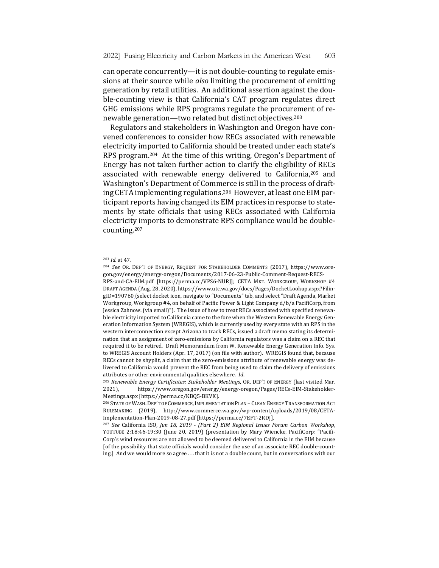can operate concurrently—it is not double-counting to regulate emissions at their source while *also* limiting the procurement of emitting generation by retail utilities. An additional assertion against the double-counting view is that California's CAT program regulates direct GHG emissions while RPS programs regulate the procurement of renewable generation—two related but distinct objectives.<sup>203</sup>

Regulators and stakeholders in Washington and Oregon have convened conferences to consider how RECs associated with renewable electricity imported to California should be treated under each state's RPS program.<sup>204</sup> At the time of this writing, Oregon's Department of Energy has not taken further action to clarify the eligibility of RECs associated with renewable energy delivered to California,<sup>205</sup> and Washington's Department of Commerce is still in the process of drafting CETA implementing regulations.<sup>206</sup> However, at least one EIM participant reports having changed its EIM practices in response to statements by state officials that using RECs associated with California electricity imports to demonstrate RPS compliance would be doublecounting.207

<sup>203</sup> *Id.* at 47.

<sup>&</sup>lt;sup>204</sup> See OR. DEP'T OF ENERGY, REQUEST FOR STAKEHOLDER COMMENTS (2017), https://www.oregon.gov/energy/energy-oregon/Documents/2017-06-23-Public-Comment-Request-RECS-

RPS-and-CA-EIM.pdf [https://perma.cc/VPS6-NURJ]; CETA MKT. WORKGROUP, WORKSHOP #4 DRAFT AGENDA (Aug. 28, 2020), https://www.utc.wa.gov/docs/Pages/DocketLookup.aspx?FilingID=190760 (select docket icon, navigate to "Documents" tab, and select "Draft Agenda, Market Workgroup, Workgroup #4, on behalf of Pacific Power & Light Company d/b/a PacifiCorp, from Jessica Zahnow. (via email)"). The issue of how to treat RECs associated with specified renewable electricity imported to California came to the fore when the Western Renewable Energy Generation Information System (WREGIS), which is currently used by every state with an RPS in the western interconnection except Arizona to track RECs, issued a draft memo stating its determination that an assignment of zero-emissions by California regulators was a claim on a REC that required it to be retired. Draft Memorandum from W. Renewable Energy Generation Info. Sys. to WREGIS Account Holders (Apr. 17, 2017) (on file with author). WREGIS found that, because RECs cannot be shyplit, a claim that the zero-emissions attribute of renewable energy was delivered to California would prevent the REC from being used to claim the delivery of emissions attributes or other environmental qualities elsewhere. *Id*.

<sup>&</sup>lt;sup>205</sup> Renewable Energy Certificates: Stakeholder Meetings, OR. DEP'T OF ENERGY (last visited Mar. 2021), https://www.oregon.gov/energy/energy-oregon/Pages/RECs-EIM-Stakeholder-Meetings.aspx [https://perma.cc/KBQ5-BKVK]. 

<sup>206</sup> STATE OF WASH. DEP'T OF COMMERCE, IMPLEMENTATION PLAN - CLEAN ENERGY TRANSFORMATION ACT RULEMAKING (2019), http://www.commerce.wa.gov/wp-content/uploads/2019/08/CETA-Implementation-Plan-2019-08-27.pdf [https://perma.cc/7EFT-2RDJ]. 

<sup>&</sup>lt;sup>207</sup> See California ISO, Jun 18, 2019 - (Part 2) EIM Regional Issues Forum Carbon Workshop, YOUTUBE 2:18:46-19:30 (June 20, 2019) (presentation by Mary Wiencke, PacifiCorp: "Pacifi-Corp's wind resources are not allowed to be deemed delivered to California in the EIM because [of the possibility that state officials would consider the use of an associate REC double-counting.] And we would more so agree ... that it is not a double count, but in conversations with our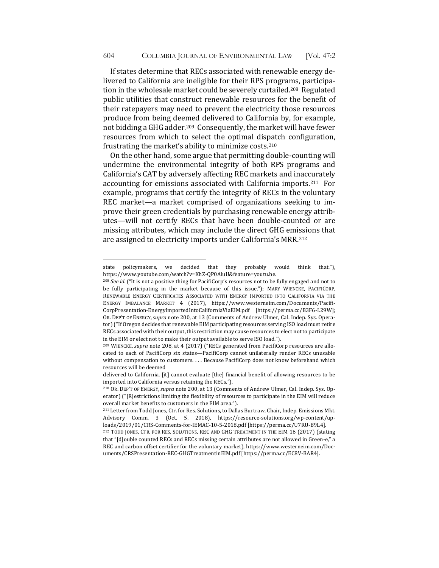If states determine that RECs associated with renewable energy delivered to California are ineligible for their RPS programs, participation in the wholesale market could be severely curtailed.<sup>208</sup> Regulated public utilities that construct renewable resources for the benefit of their ratepayers may need to prevent the electricity those resources produce from being deemed delivered to California by, for example, not bidding a GHG adder.<sup>209</sup> Consequently, the market will have fewer resources from which to select the optimal dispatch configuration, frustrating the market's ability to minimize costs.<sup>210</sup>

On the other hand, some argue that permitting double-counting will undermine the environmental integrity of both RPS programs and California's CAT by adversely affecting REC markets and inaccurately accounting for emissions associated with California imports.<sup>211</sup> For example, programs that certify the integrity of RECs in the voluntary REC market—a market comprised of organizations seeking to improve their green credentials by purchasing renewable energy attributes—will not certify RECs that have been double-counted or are missing attributes, which may include the direct GHG emissions that are assigned to electricity imports under California's MRR.<sup>212</sup>

state policymakers, we decided that they probably would think that."), https://www.youtube.com/watch?v=KhZ-QP0AluU&feature=youtu.be. 

<sup>&</sup>lt;sup>208</sup> *See id.* ("It is not a positive thing for PacifiCorp's resources not to be fully engaged and not to be fully participating in the market because of this issue."); MARY WIENCKE, PACIFICORP, RENEWABLE ENERGY CERTIFICATES ASSOCIATED WITH ENERGY IMPORTED INTO CALIFORNIA VIA THE ENERGY IMBALANCE MARKET 4 (2017), https://www.westerneim.com/Documents/Pacifi-CorpPresentation-EnergyImportedIntoCaliforniaViaEIM.pdf [https://perma.cc/B3F6-L29W]; OR. DEP'T OF ENERGY, *supra* note 200, at 13 (Comments of Andrew Ulmer, Cal. Indep. Sys. Operator) ("If Oregon decides that renewable EIM participating resources serving ISO load must retire RECs associated with their output, this restriction may cause resources to elect not to participate in the EIM or elect not to make their output available to serve ISO load.").

<sup>&</sup>lt;sup>209</sup> WIENCKE, *supra* note 208, at 4 (2017) ("RECs generated from PacifiCorp resources are allocated to each of PacifiCorp six states—PacifiCorp cannot unilaterally render RECs unusable without compensation to customers. . . . Because PacifiCorp does not know beforehand which resources will be deemed

delivered to California, [it] cannot evaluate [the] financial benefit of allowing resources to be imported into California versus retaining the RECs.").

<sup>&</sup>lt;sup>210</sup> OR. DEP'T OF ENERGY, *supra* note 200, at 13 (Comments of Andrew Ulmer, Cal. Indep. Sys. Operator) ("[R]estrictions limiting the flexibility of resources to participate in the EIM will reduce overall market benefits to customers in the EIM area.").

<sup>211</sup> Letter from Todd Jones, Ctr. for Res. Solutions, to Dallas Burtraw, Chair, Indep. Emissions Mkt. Advisory Comm. 3 (Oct. 5, 2018), https://resource-solutions.org/wp-content/uploads/2019/01/CRS-Comments-for-IEMAC-10-5-2018.pdf [https://perma.cc/U7RU-B9L4].

<sup>&</sup>lt;sup>212</sup> TODD JONES, CTR. FOR RES. SOLUTIONS, REC AND GHG TREATMENT IN THE EIM 16 (2017) (stating that "[d]ouble counted RECs and RECs missing certain attributes are not allowed in Green-e," a REC and carbon offset certifier for the voluntary market), https://www.westerneim.com/Documents/CRSPresentation-REC-GHGTreatmentinEIM.pdf [https://perma.cc/EC8V-BAR4].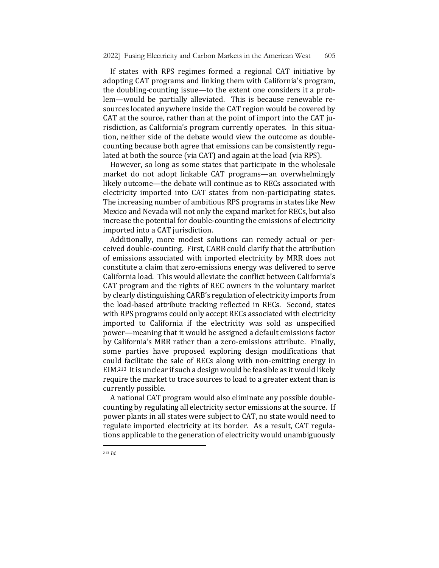If states with RPS regimes formed a regional CAT initiative by adopting CAT programs and linking them with California's program, the doubling-counting issue—to the extent one considers it a problem—would be partially alleviated. This is because renewable resources located anywhere inside the CAT region would be covered by CAT at the source, rather than at the point of import into the CAT jurisdiction, as California's program currently operates. In this situation, neither side of the debate would view the outcome as doublecounting because both agree that emissions can be consistently regulated at both the source (via CAT) and again at the load (via RPS).

However, so long as some states that participate in the wholesale market do not adopt linkable CAT programs—an overwhelmingly likely outcome—the debate will continue as to RECs associated with electricity imported into CAT states from non-participating states. The increasing number of ambitious RPS programs in states like New Mexico and Nevada will not only the expand market for RECs, but also increase the potential for double-counting the emissions of electricity imported into a CAT jurisdiction.

Additionally, more modest solutions can remedy actual or perceived double-counting. First, CARB could clarify that the attribution of emissions associated with imported electricity by MRR does not constitute a claim that zero-emissions energy was delivered to serve California load. This would alleviate the conflict between California's CAT program and the rights of REC owners in the voluntary market by clearly distinguishing CARB's regulation of electricity imports from the load-based attribute tracking reflected in RECs. Second, states with RPS programs could only accept RECs associated with electricity imported to California if the electricity was sold as unspecified power—meaning that it would be assigned a default emissions factor by California's MRR rather than a zero-emissions attribute. Finally, some parties have proposed exploring design modifications that could facilitate the sale of RECs along with non-emitting energy in EIM.<sup>213</sup> It is unclear if such a design would be feasible as it would likely require the market to trace sources to load to a greater extent than is currently possible.

A national CAT program would also eliminate any possible doublecounting by regulating all electricity sector emissions at the source. If power plants in all states were subject to CAT, no state would need to regulate imported electricity at its border. As a result, CAT regulations applicable to the generation of electricity would unambiguously

<sup>213</sup> *Id.*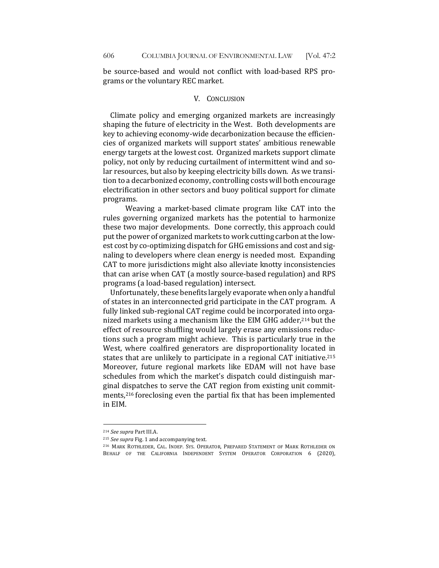be source-based and would not conflict with load-based RPS programs or the voluntary REC market.

#### V. CONCLUSION

Climate policy and emerging organized markets are increasingly shaping the future of electricity in the West. Both developments are key to achieving economy-wide decarbonization because the efficiencies of organized markets will support states' ambitious renewable energy targets at the lowest cost. Organized markets support climate policy, not only by reducing curtailment of intermittent wind and solar resources, but also by keeping electricity bills down. As we transition to a decarbonized economy, controlling costs will both encourage electrification in other sectors and buoy political support for climate programs.

Weaving a market-based climate program like CAT into the rules governing organized markets has the potential to harmonize these two major developments. Done correctly, this approach could put the power of organized markets to work cutting carbon at the lowest cost by co-optimizing dispatch for GHG emissions and cost and signaling to developers where clean energy is needed most. Expanding CAT to more jurisdictions might also alleviate knotty inconsistencies that can arise when CAT (a mostly source-based regulation) and RPS programs (a load-based regulation) intersect.

Unfortunately, these benefits largely evaporate when only a handful of states in an interconnected grid participate in the CAT program. A fully linked sub-regional CAT regime could be incorporated into organized markets using a mechanism like the EIM GHG adder, $214$  but the effect of resource shuffling would largely erase any emissions reductions such a program might achieve. This is particularly true in the West, where coalfired generators are disproportionality located in states that are unlikely to participate in a regional CAT initiative.<sup>215</sup> Moreover, future regional markets like EDAM will not have base schedules from which the market's dispatch could distinguish marginal dispatches to serve the CAT region from existing unit commitments,<sup>216</sup> foreclosing even the partial fix that has been implemented in EIM.

<sup>&</sup>lt;sup>214</sup> See supra Part III.A.

<sup>&</sup>lt;sup>215</sup> See supra Fig. 1 and accompanying text.

<sup>216</sup> MARK ROTHLEDER, CAL. INDEP. SYS. OPERATOR, PREPARED STATEMENT OF MARK ROTHLEDER ON BEHALF OF THE CALIFORNIA INDEPENDENT SYSTEM OPERATOR CORPORATION 6 (2020),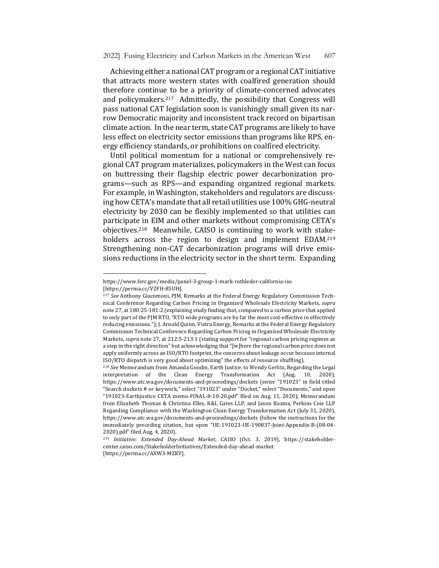Achieving either a national CAT program or a regional CAT initiative that attracts more western states with coalfired generation should therefore continue to be a priority of climate-concerned advocates and policymakers.<sup>217</sup> Admittedly, the possibility that Congress will pass national CAT legislation soon is vanishingly small given its narrow Democratic majority and inconsistent track record on bipartisan climate action. In the near term, state CAT programs are likely to have less effect on electricity sector emissions than programs like RPS, energy efficiency standards, or prohibitions on coalfired electricity.

Until political momentum for a national or comprehensively regional CAT program materializes, policymakers in the West can focus on buttressing their flagship electric power decarbonization programs—such as RPS—and expanding organized regional markets. For example, in Washington, stakeholders and regulators are discussing how CETA's mandate that all retail utilities use 100% GHG-neutral electricity by 2030 can be flexibly implemented so that utilities can participate in EIM and other markets without compromising CETA's objectives.<sup>218</sup> Meanwhile, CAISO is continuing to work with stakeholders across the region to design and implement EDAM.<sup>219</sup> Strengthening non-CAT decarbonization programs will drive emissions reductions in the electricity sector in the short term. Expanding

https://www.ferc.gov/media/panel-3-group-1-mark-rothleder-california-iso [https://perma.cc/V2FH-85UH]. 

<sup>&</sup>lt;sup>217</sup> See Anthony Giacomoni, PJM, Remarks at the Federal Energy Regulatory Commission Technical Conference Regarding Carbon Pricing in Organized Wholesale Electricity Markets, *supra* note 27, at 180:25-181:2 (explaining study finding that, compared to a carbon price that applied to only part of the PJM RTO, "RTO wide programs are by far the most cost-effective in effectively reducing emissions."); J. Arnold Quinn, Vistra Energy, Remarks at the Federal Energy Regulatory Commission Technical Conference Regarding Carbon Pricing in Organized Wholesale Electricity Markets, *supra* note 27, at 212:5-213:1 (stating support for "regional carbon pricing regimes as a step in the right direction" but acknowledging that "[w]here the regional carbon price does not apply uniformly across an ISO/RTO footprint, the concerns about leakage occur because internal ISO/RTO dispatch is very good about optimizing" the effects of resource shuffling).

<sup>&</sup>lt;sup>218</sup> See Memorandum from Amanda Goodin, Earth Justice, to Wendy Gerlitz, Regarding the Legal interpretation of the Clean Energy Transformation Act (Aug. 10, 2020), https://www.utc.wa.gov/documents-and-proceedings/dockets (enter "191023" in field titled "Search dockets # or keywork," select "191023" under "Docket," select "Documents," and open "191023-Earthjustice CETA memo-FINAL-8-10-20.pdf" filed on Aug. 11, 2020); Memorandum from Elizabeth Thomas & Christina Elles, K&L Gates LLP, and Jason Kuzma, Perkins Coie LLP Regarding Compliance with the Washington Clean Energy Transformation Act (July 31, 2020), https://www.utc.wa.gov/documents-and-proceedings/dockets (follow the instructions for the immediately preceding citation, but open "UE-191023-UE-190837-Joint-Appendix-B-(08-04-2020).pdf" filed Aug. 4, 2020).

<sup>&</sup>lt;sup>219</sup> Initiative: Extended Day-Ahead Market, CAISO (Oct. 3, 2019), https://stakeholdercenter.caiso.com/StakeholderInitiatives/Extended-day-ahead-market [https://perma.cc/AXW3-MZKY].